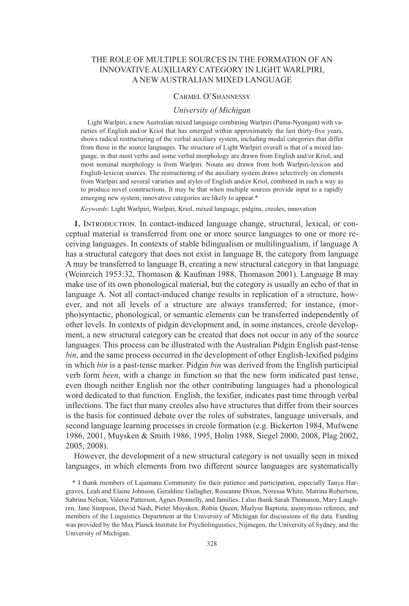## THE ROLE OF MULTIPLE SOURCES IN THE FORMATION OF AN INNOVATIVE AUXILIARY CATEGORY IN LIGHT WARLPIRI, A NEWAUSTRALIAN MIXED LANGUAGE

## CARMEL O'SHANNESSY

## *University of Michigan*

Light Warlpiri, a new Australian mixed language combining Warlpiri (Pama-Nyungan) with varieties of English and/or Kriol that has emerged within approximately the last thirty-five years, shows radical restructuring of the verbal auxiliary system, including modal categories that differ from those in the source languages. The structure of Light Warlpiri overall is that of a mixed language, in that most verbs and some verbal morphology are drawn from English and/or Kriol, and most nominal morphology is from Warlpiri. Nouns are drawn from both Warlpiri-lexicon and English-lexicon sources. The restructuring of the auxiliary system draws selectively on elements from Warlpiri and several varieties and styles of English and/or Kriol, combined in such a way as to produce novel constructions. It may be that when multiple sources provide input to a rapidly emerging new system, innovative categories are likely to appear.\*

*Keywords*: Light Warlpiri, Warlpiri, Kriol, mixed language, pidgins, creoles, innovation

**1.** INTRODUCTION. In contact-induced language change, structural, lexical, or conceptual material is transferred from one or more source languages to one or more receiving languages. In contexts of stable bilingualism or multilingualism, if language A has a structural category that does not exist in language B, the category from language A may be transferred to language B, creating a new structural category in that language (Weinreich 1953:32, Thomason & Kaufman 1988, Thomason 2001). Language B may make use of its own phonological material, but the category is usually an echo of that in language A. Not all contact-induced change results in replication of a structure, however, and not all levels of a structure are always transferred; for instance, (morpho)syntactic, phonological, or semantic elements can be transferred independently of other levels. In contexts of pidgin development and, in some instances, creole development, a new structural category can be created that does not occur in any of the source languages. This process can be illustrated with the Australian Pidgin English past-tense *bin*, and the same process occurred in the development of other English-lexified pidgins in which *bin* is a past-tense marker. Pidgin *bin* was derived from the English participial verb form *been*, with a change in function so that the new form indicated past tense, even though neither English nor the other contributing languages had a phonological word dedicated to that function. English, the lexifier, indicates past time through verbal inflections. The fact that many creoles also have structures that differ from their sources is the basis for continued debate over the roles of substrates, language universals, and second language learning processes in creole formation (e.g. Bickerton 1984, Mufwene 1986, 2001, Muysken & Smith 1986, 1995, Holm 1988, Siegel 2000, 2008, Plag 2002, 2005, 2008).

However, the development of a new structural category is not usually seen in mixed languages, in which elements from two different source languages are systematically

<sup>\*</sup> I thank members of Lajamanu Community for their patience and participation, especially Tanya Hargraves, Leah and Elaine Johnson, Geraldine Gallagher, Roseanne Dixon, Noressa White, Matrina Robertson, Sabrina Nelson, Valerie Patterson, Agnes Donnelly, and families. I also thank Sarah Thomason, Mary Laughren, Jane Simpson, David Nash, Pieter Muysken, Robin Queen, Marlyse Baptista, anonymous referees, and members of the Linguistics Department at the University of Michigan for discussions of the data. Funding was provided by the Max Planck Institute for Psycholinguistics, Nijmegen, the University of Sydney, and the University of Michigan.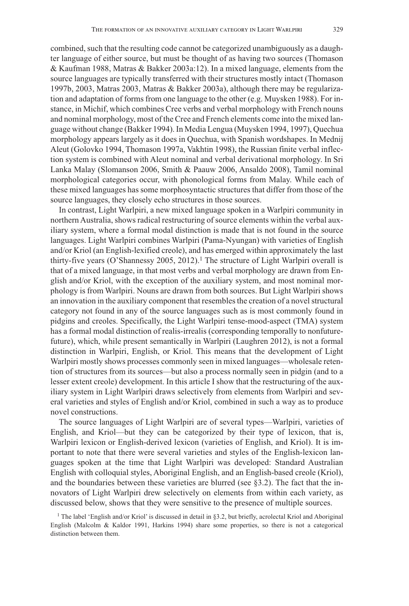combined, such that the resulting code cannot be categorized unambiguously as a daughter language of either source, but must be thought of as having two sources (Thomason & Kaufman 1988, Matras & Bakker 2003a:12). In a mixed language, elements from the source languages are typically transferred with their structures mostly intact (Thomason 1997b, 2003, Matras 2003, Matras & Bakker 2003a), although there may be regularization and adaptation of forms from one language to the other (e.g. Muysken 1988). For instance, in Michif, which combines Cree verbs and verbal morphology with French nouns and nominal morphology, most of the Cree and French elements come into the mixed lan-

guage without change (Bakker 1994). In Media Lengua (Muysken 1994, 1997), Quechua morphology appears largely as it does in Quechua, with Spanish wordshapes. In Mednij Aleut (Golovko 1994, Thomason 1997a, Vakhtin 1998), the Russian finite verbal inflection system is combined with Aleut nominal and verbal derivational morphology. In Sri Lanka Malay (Slomanson 2006, Smith & Paauw 2006, Ansaldo 2008), Tamil nominal morphological categories occur, with phonological forms from Malay. While each of these mixed languages has some morphosyntactic structures that differ from those of the source languages, they closely echo structures in those sources.

In contrast, Light Warlpiri, a new mixed language spoken in a Warlpiri community in northern Australia, shows radical restructuring of source elements within the verbal auxiliary system, where a formal modal distinction is made that is not found in the source languages. Light Warlpiri combines Warlpiri (Pama-Nyungan) with varieties of English and/or Kriol (an English-lexified creole), and has emerged within approximately the last thirty-five years (O'Shannessy 2005, 2012). <sup>1</sup> The structure of Light Warlpiri overall is that of a mixed language, in that most verbs and verbal morphology are drawn from English and/or Kriol, with the exception of the auxiliary system, and most nominal morphology is from Warlpiri. Nouns are drawn from both sources. But Light Warlpiri shows an innovation in the auxiliary component that resembles the creation of a novel structural category not found in any of the source languages such as is most commonly found in pidgins and creoles. Specifically, the Light Warlpiri tense-mood-aspect (TMA) system has a formal modal distinction of realis-irrealis (corresponding temporally to nonfuturefuture), which, while present semantically in Warlpiri (Laughren 2012), is not a formal distinction in Warlpiri, English, or Kriol. This means that the development of Light Warlpiri mostly shows processes commonly seen in mixed languages—wholesale retention of structures from its sources—but also a process normally seen in pidgin (and to a lesser extent creole) development. In this article I show that the restructuring of the auxiliary system in Light Warlpiri draws selectively from elements from Warlpiri and several varieties and styles of English and/or Kriol, combined in such a way as to produce novel constructions.

The source languages of Light Warlpiri are of several types—Warlpiri, varieties of English, and Kriol—but they can be categorized by their type of lexicon, that is, Warlpiri lexicon or English-derived lexicon (varieties of English, and Kriol). It is important to note that there were several varieties and styles of the English-lexicon languages spoken at the time that Light Warlpiri was developed: Standard Australian English with colloquial styles, Aboriginal English, and an English-based creole (Kriol), and the boundaries between these varieties are blurred (see  $\S 3.2$ ). The fact that the innovators of Light Warlpiri drew selectively on elements from within each variety, as discussed below, shows that they were sensitive to the presence of multiple sources.

<sup>1</sup> The label 'English and/or Kriol' is discussed in detail in §3.2, but briefly, acrolectal Kriol and Aboriginal English (Malcolm & Kaldor 1991, Harkins 1994) share some properties, so there is not a categorical distinction between them.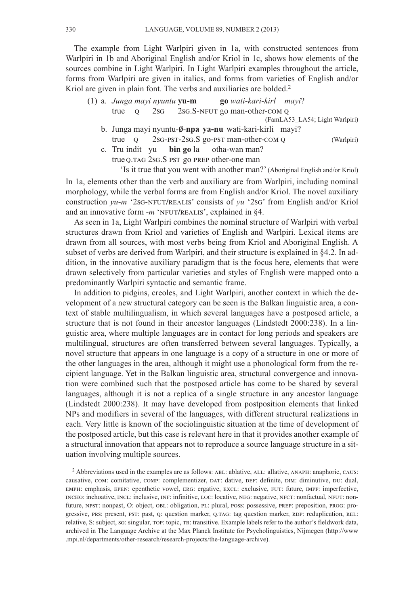The example from Light Warlpiri given in 1a, with constructed sentences from Warlpiri in 1b and Aboriginal English and/or Kriol in 1c, shows how elements of the sources combine in Light Warlpiri. In Light Warlpiri examples throughout the article, forms from Warlpiri are given in italics, and forms from varieties of English and/or Kriol are given in plain font. The verbs and auxiliaries are bolded.<sup>2</sup>

(1) a. *Junga mayi nyuntu* **yu-m go** *wati-kari-kirl mayi*? true  $Q = 2sG$  2sg.S-NFUT go man-other-com  $Q$ (FamLA53\_LA54; Light Warlpiri) b. Junga mayi nyuntu-**∅**-**npa ya-nu** wati-kari-kirli mayi? true  $Q = 2sG-PST-2sG.S go-PST man-other-COMQ$  (Warlpiri) c. Tru indit yu **bin go** la otha-wan man?

true Q.TAG 2sG.S PST go PREP other-one man

'Is it true that you went with another man?'(Aboriginal English and/or Kriol) In 1a, elements other than the verb and auxiliary are from Warlpiri, including nominal morphology, while the verbal forms are from English and/or Kriol. The novel auxiliary construction *yu-m* '2sg-nfut/realis' consists of *yu* '2sg' from English and/or Kriol and an innovative form  $-m$  'NFUT/REALIS', explained in §4.

As seen in 1a, Light Warlpiri combines the nominal structure of Warlpiri with verbal structures drawn from Kriol and varieties of English and Warlpiri. Lexical items are drawn from all sources, with most verbs being from Kriol and Aboriginal English. A subset of verbs are derived from Warlpiri, and their structure is explained in §4.2. In addition, in the innovative auxiliary paradigm that is the focus here, elements that were drawn selectively from particular varieties and styles of English were mapped onto a predominantly Warlpiri syntactic and semantic frame.

In addition to pidgins, creoles, and Light Warlpiri, another context in which the development of a new structural category can be seen is the Balkan linguistic area, a context of stable multilingualism, in which several languages have a postposed article, a structure that is not found in their ancestor languages (Lindstedt 2000:238). In a linguistic area, where multiple languages are in contact for long periods and speakers are multilingual, structures are often transferred between several languages. Typically, a novel structure that appears in one language is a copy of a structure in one or more of the other languages in the area, although it might use a phonological form from the recipient language. Yet in the Balkan linguistic area, structural convergence and innovation were combined such that the postposed article has come to be shared by several languages, although it is not a replica of a single structure in any ancestor language (Lindstedt 2000:238). It may have developed from postposition elements that linked NPs and modifiers in several of the languages, with different structural realizations in each. Very little is known of the sociolinguistic situation at the time of development of the postposed article, but this case is relevant here in that it provides another example of a structural innovation that appears not to reproduce a source language structure in a situation involving multiple sources.

<sup>2</sup> Abbreviations used in the examples are as follows: ABL: ablative, ALL: allative, ANAPH: anaphoric, CAUS: causative, COM: comitative, COMP: complementizer, DAT: dative, DEF: definite, DIM: diminutive, DU: dual, EMPH: emphasis, EPEN: epenthetic vowel, ERG: ergative, EXCL: exclusive, FUT: future, IMPF: imperfective, incho: inchoative, incl: inclusive, inf: infinitive, loc: locative, neg: negative, nfct: nonfactual, nfut: nonfuture, NPST: nonpast, O: object, OBL: obligation, PL: plural, POSS: possessive, PREP: preposition, PROG: progressive, PRS: present, PST: past, Q: question marker, Q.TAG: tag question marker, RDP: reduplication, REL: relative, S: subject, sg: singular, top: topic, tr: transitive. Example labels refer to the author's fieldwork data, archived in The Language Archive at the Max Planck Institute for Psycholinguistics, Nijmegen [\(http://www](http://www.mpi.nl/departments/other-research/research-projects/the-language-archive) [.mpi.nl/departments/other-research/research-projects/the-language-archive\)](http://www.mpi.nl/departments/other-research/research-projects/the-language-archive).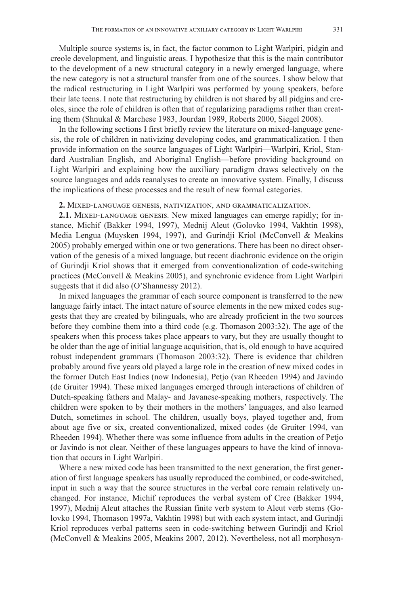Multiple source systems is, in fact, the factor common to Light Warlpiri, pidgin and creole development, and linguistic areas. I hypothesize that this is the main contributor to the development of a new structural category in a newly emerged language, where the new category is not a structural transfer from one of the sources. I show below that the radical restructuring in Light Warlpiri was performed by young speakers, before their late teens. I note that restructuring by children is not shared by all pidgins and creoles, since the role of children is often that of regularizing paradigms rather than creating them (Shnukal & Marchese 1983, Jourdan 1989, Roberts 2000, Siegel 2008).

In the following sections I first briefly review the literature on mixed-language genesis, the role of children in nativizing developing codes, and grammaticalization. I then provide information on the source languages of Light Warlpiri—Warlpiri, Kriol, Standard Australian English, and Aboriginal English—before providing background on Light Warlpiri and explaining how the auxiliary paradigm draws selectively on the source languages and adds reanalyses to create an innovative system. Finally, I discuss the implications of these processes and the result of new formal categories.

**2.** Mixed-language genesis, nativization, and grammaticalization.

**2.1.** MIXED-LANGUAGE GENESIS. New mixed languages can emerge rapidly; for instance, Michif (Bakker 1994, 1997), Mednij Aleut (Golovko 1994, Vakhtin 1998), Media Lengua (Muysken 1994, 1997), and Gurindji Kriol (McConvell & Meakins 2005) probably emerged within one or two generations. There has been no direct observation of the genesis of a mixed language, but recent diachronic evidence on the origin of Gurindji Kriol shows that it emerged from conventionalization of code-switching practices (McConvell & Meakins 2005), and synchronic evidence from Light Warlpiri suggests that it did also (O'Shannessy 2012).

In mixed languages the grammar of each source component is transferred to the new language fairly intact. The intact nature of source elements in the new mixed codes suggests that they are created by bilinguals, who are already proficient in the two sources before they combine them into a third code (e.g. Thomason 2003:32). The age of the speakers when this process takes place appears to vary, but they are usually thought to be older than the age of initial language acquisition, that is, old enough to have acquired robust independent grammars (Thomason 2003:32). There is evidence that children probably around five years old played a large role in the creation of new mixed codes in the former Dutch East Indies (now Indonesia), Petjo (van Rheeden 1994) and Javindo (de Gruiter 1994). These mixed languages emerged through interactions of children of Dutch-speaking fathers and Malay- and Javanese-speaking mothers, respectively. The children were spoken to by their mothers in the mothers' languages, and also learned Dutch, sometimes in school. The children, usually boys, played together and, from about age five or six, created conventionalized, mixed codes (de Gruiter 1994, van Rheeden 1994). Whether there was some influence from adults in the creation of Petjo or Javindo is not clear. Neither of these languages appears to have the kind of innovation that occurs in Light Warlpiri.

Where a new mixed code has been transmitted to the next generation, the first generation of first language speakers has usually reproduced the combined, or code-switched, input in such a way that the source structures in the verbal core remain relatively unchanged. For instance, Michif reproduces the verbal system of Cree (Bakker 1994, 1997), Mednij Aleut attaches the Russian finite verb system to Aleut verb stems (Golovko 1994, Thomason 1997a, Vakhtin 1998) but with each system intact, and Gurindji Kriol reproduces verbal patterns seen in code-switching between Gurindji and Kriol (McConvell & Meakins 2005, Meakins 2007, 2012). Nevertheless, not all morphosyn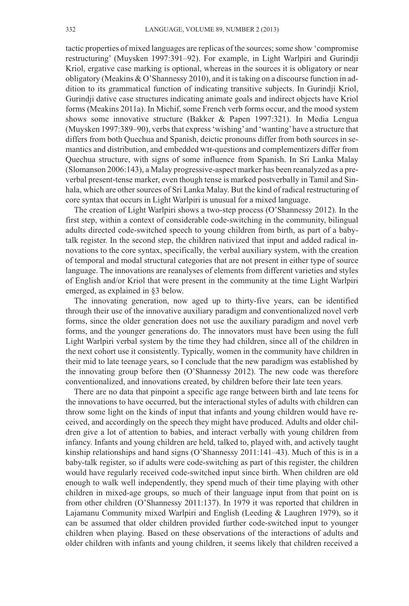tactic properties of mixed languages are replicas of the sources; some show 'compromise restructuring' (Muysken 1997:391–92). For example, in Light Warlpiri and Gurindji Kriol, ergative case marking is optional, whereas in the sources it is obligatory or near obligatory (Meakins & O'Shannessy 2010), and it is taking on a discourse function in addition to its grammatical function of indicating transitive subjects. In Gurindji Kriol, Gurindji dative case structures indicating animate goals and indirect objects have Kriol forms (Meakins 2011a). In Michif, some French verb forms occur, and the mood system shows some innovative structure (Bakker & Papen 1997:321). In Media Lengua (Muysken 1997:389–90), verbs that express 'wishing' and 'wanting' have a structure that differs from both Quechua and Spanish, deictic pronouns differ from both sources in semantics and distribution, and embedded wh-questions and complementizers differ from Quechua structure, with signs of some influence from Spanish. In Sri Lanka Malay (Slomanson 2006:143), a Malay progressive-aspect marker has been reanalyzed as a preverbal present-tense marker, even though tense is marked postverbally in Tamil and Sinhala, which are other sources of Sri Lanka Malay. But the kind of radical restructuring of core syntax that occurs in Light Warlpiri is unusual for a mixed language.

The creation of Light Warlpiri shows a two-step process (O'Shannessy 2012). In the first step, within a context of considerable code-switching in the community, bilingual adults directed code-switched speech to young children from birth, as part of a babytalk register. In the second step, the children nativized that input and added radical innovations to the core syntax, specifically, the verbal auxiliary system, with the creation of temporal and modal structural categories that are not present in either type of source language. The innovations are reanalyses of elements from different varieties and styles of English and/or Kriol that were present in the community at the time Light Warlpiri emerged, as explained in §3 below.

The innovating generation, now aged up to thirty-five years, can be identified through their use of the innovative auxiliary paradigm and conventionalized novel verb forms, since the older generation does not use the auxiliary paradigm and novel verb forms, and the younger generations do. The innovators must have been using the full Light Warlpiri verbal system by the time they had children, since all of the children in the next cohort use it consistently. Typically, women in the community have children in their mid to late teenage years, so I conclude that the new paradigm was established by the innovating group before then (O'Shannessy 2012). The new code was therefore conventionalized, and innovations created, by children before their late teen years.

There are no data that pinpoint a specific age range between birth and late teens for the innovations to have occurred, but the interactional styles of adults with children can throw some light on the kinds of input that infants and young children would have received, and accordingly on the speech they might have produced. Adults and older children give a lot of attention to babies, and interact verbally with young children from infancy. Infants and young children are held, talked to, played with, and actively taught kinship relationships and hand signs (O'Shannessy 2011:141–43). Much of this is in a baby-talk register, so if adults were code-switching as part of this register, the children would have regularly received code-switched input since birth. When children are old enough to walk well independently, they spend much of their time playing with other children in mixed-age groups, so much of their language input from that point on is from other children (O'Shannessy 2011:137). In 1979 it was reported that children in Lajamanu Community mixed Warlpiri and English (Leeding & Laughren 1979), so it can be assumed that older children provided further code-switched input to younger children when playing. Based on these observations of the interactions of adults and older children with infants and young children, it seems likely that children received a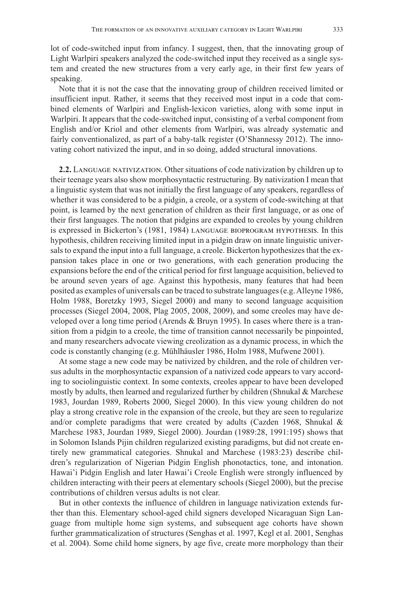lot of code-switched input from infancy. I suggest, then, that the innovating group of Light Warlpiri speakers analyzed the code-switched input they received as a single system and created the new structures from a very early age, in their first few years of speaking.

Note that it is not the case that the innovating group of children received limited or insufficient input. Rather, it seems that they received most input in a code that combined elements of Warlpiri and English-lexicon varieties, along with some input in Warlpiri. It appears that the code-switched input, consisting of a verbal component from English and/or Kriol and other elements from Warlpiri, was already systematic and fairly conventionalized, as part of a baby-talk register (O'Shannessy 2012). The innovating cohort nativized the input, and in so doing, added structural innovations.

**2.2.** Language nativization. Other situations of code nativization by children up to their teenage years also show morphosyntactic restructuring. By nativization I mean that a linguistic system that was not initially the first language of any speakers, regardless of whether it was considered to be a pidgin, a creole, or a system of code-switching at that point, is learned by the next generation of children as their first language, or as one of their first languages. The notion that pidgins are expanded to creoles by young children is expressed in Bickerton's (1981, 1984) language bioprogram hypothesis. In this hypothesis, children receiving limited input in a pidgin draw on innate linguistic universals to expand the input into a full language, a creole. Bickerton hypothesizes that the expansion takes place in one or two generations, with each generation producing the expansions before the end of the critical period for first language acquisition, believed to be around seven years of age. Against this hypothesis, many features that had been posited as examples of universals can be traced to substrate languages(e.g.Alleyne 1986, Holm 1988, Boretzky 1993, Siegel 2000) and many to second language acquisition processes (Siegel 2004, 2008, Plag 2005, 2008, 2009), and some creoles may have developed over a long time period (Arends & Bruyn 1995). In cases where there is a transition from a pidgin to a creole, the time of transition cannot necessarily be pinpointed, and many researchers advocate viewing creolization as a dynamic process, in which the code is constantly changing (e.g. Mühlhäusler 1986, Holm 1988, Mufwene 2001).

At some stage a new code may be nativized by children, and the role of children versus adults in the morphosyntactic expansion of a nativized code appears to vary according to sociolinguistic context. In some contexts, creoles appear to have been developed mostly by adults, then learned and regularized further by children (Shnukal & Marchese 1983, Jourdan 1989, Roberts 2000, Siegel 2000). In this view young children do not play a strong creative role in the expansion of the creole, but they are seen to regularize and/or complete paradigms that were created by adults (Cazden 1968, Shnukal  $\&$ Marchese 1983, Jourdan 1989, Siegel 2000). Jourdan (1989:28, 1991:195) shows that in Solomon Islands Pijin children regularized existing paradigms, but did not create entirely new grammatical categories. Shnukal and Marchese (1983:23) describe children's regularization of Nigerian Pidgin English phonotactics, tone, and intonation. Hawai'i Pidgin English and later Hawai'i Creole English were strongly influenced by children interacting with their peers at elementary schools (Siegel 2000), but the precise contributions of children versus adults is not clear.

But in other contexts the influence of children in language nativization extends further than this. Elementary school-aged child signers developed Nicaraguan Sign Language from multiple home sign systems, and subsequent age cohorts have shown further grammaticalization of structures (Senghas et al. 1997, Kegl et al. 2001, Senghas et al. 2004). Some child home signers, by age five, create more morphology than their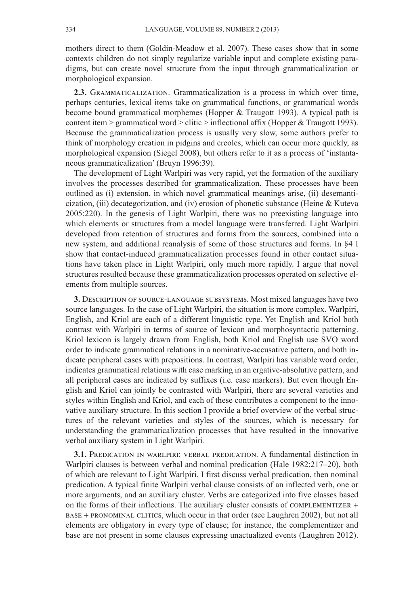mothers direct to them (Goldin-Meadow et al. 2007). These cases show that in some contexts children do not simply regularize variable input and complete existing paradigms, but can create novel structure from the input through grammaticalization or morphological expansion.

**2.3.** Grammaticalization. Grammaticalization is a process in which over time, perhaps centuries, lexical items take on grammatical functions, or grammatical words become bound grammatical morphemes (Hopper & Traugott 1993). A typical path is content item > grammatical word > clitic > inflectional affix (Hopper & Traugott 1993). Because the grammaticalization process is usually very slow, some authors prefer to think of morphology creation in pidgins and creoles, which can occur more quickly, as morphological expansion (Siegel 2008), but others refer to it as a process of 'instantaneous grammaticalization' (Bruyn 1996:39).

The development of Light Warlpiri was very rapid, yet the formation of the auxiliary involves the processes described for grammaticalization. These processes have been outlined as (i) extension, in which novel grammatical meanings arise, (ii) desemanticization, (iii) decategorization, and (iv) erosion of phonetic substance (Heine & Kuteva 2005:220). In the genesis of Light Warlpiri, there was no preexisting language into which elements or structures from a model language were transferred. Light Warlpiri developed from retention of structures and forms from the sources, combined into a new system, and additional reanalysis of some of those structures and forms. In §4 I show that contact-induced grammaticalization processes found in other contact situations have taken place in Light Warlpiri, only much more rapidly. I argue that novel structures resulted because these grammaticalization processes operated on selective elements from multiple sources.

**3.** Description of source-language subsystems. Most mixed languages have two source languages. In the case of Light Warlpiri, the situation is more complex. Warlpiri, English, and Kriol are each of a different linguistic type. Yet English and Kriol both contrast with Warlpiri in terms of source of lexicon and morphosyntactic patterning. Kriol lexicon is largely drawn from English, both Kriol and English use SVO word order to indicate grammatical relations in a nominative-accusative pattern, and both indicate peripheral cases with prepositions. In contrast, Warlpiri has variable word order, indicates grammatical relations with case marking in an ergative-absolutive pattern, and all peripheral cases are indicated by suffixes (i.e. case markers). But even though English and Kriol can jointly be contrasted with Warlpiri, there are several varieties and styles within English and Kriol, and each of these contributes a component to the innovative auxiliary structure. In this section I provide a brief overview of the verbal structures of the relevant varieties and styles of the sources, which is necessary for understanding the grammaticalization processes that have resulted in the innovative verbal auxiliary system in Light Warlpiri.

**3.1.** Predication in warlpiri: verbal predication. A fundamental distinction in Warlpiri clauses is between verbal and nominal predication (Hale 1982:217–20), both of which are relevant to Light Warlpiri. I first discuss verbal predication, then nominal predication. A typical finite Warlpiri verbal clause consists of an inflected verb, one or more arguments, and an auxiliary cluster. Verbs are categorized into five classes based on the forms of their inflections. The auxiliary cluster consists of complementizer + base + pronominal clitics, which occur in that order (see Laughren 2002), but not all elements are obligatory in every type of clause; for instance, the complementizer and base are not present in some clauses expressing unactualized events (Laughren 2012).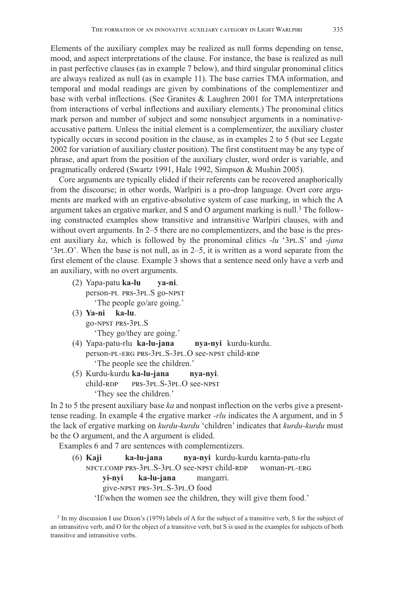Elements of the auxiliary complex may be realized as null forms depending on tense, mood, and aspect interpretations of the clause. For instance, the base is realized as null in past perfective clauses (as in example 7 below), and third singular pronominal clitics are always realized as null (as in example 11). The base carries TMA information, and temporal and modal readings are given by combinations of the complementizer and base with verbal inflections. (See Granites & Laughren 2001 for TMA interpretations from interactions of verbal inflections and auxiliary elements.) The pronominal clitics mark person and number of subject and some nonsubject arguments in a nominativeaccusative pattern. Unless the initial element is a complementizer, the auxiliary cluster typically occurs in second position in the clause, as in examples 2 to 5 (but see Legate 2002 for variation of auxiliary cluster position). The first constituent may be any type of phrase, and apart from the position of the auxiliary cluster, word order is variable, and pragmatically ordered (Swartz 1991, Hale 1992, Simpson & Mushin 2005).

Core arguments are typically elided if their referents can be recovered anaphorically from the discourse; in other words, Warlpiri is a pro-drop language. Overt core arguments are marked with an ergative-absolutive system of case marking, in which the A argument takes an ergative marker, and S and O argument marking is null. <sup>3</sup> The following constructed examples show transitive and intransitive Warlpiri clauses, with and without overt arguments. In 2–5 there are no complementizers, and the base is the present auxiliary *ka*, which is followed by the pronominal clitics -*lu* '3pl.S' and -*jana* '3pl.O'. When the base is not null, as in 2–5, it is written as a word separate from the first element of the clause. Example 3 shows that a sentence need only have a verb and an auxiliary, with no overt arguments.

- (2) Yapa-patu **ka-lu ya-ni**. person-pl prs-3pl.S go-npst 'The people go/are going.'
- (3) **Ya-ni ka-lu**. go-npst prs-3pl.S 'They go/they are going.'
- (4) Yapa-patu-rlu **ka-lu-jana nya-nyi** kurdu-kurdu. person-PL-ERG PRS-3PL.S-3PL.O see-NPST child-RDP 'The people see the children.'
- (5) Kurdu-kurdu **ka-lu-jana nya-nyi**. child-RDP PRS-3PL.S-3PL.O see-NPST 'They see the children.'

In 2 to 5 the present auxiliary base *ka* and nonpast inflection on the verbs give a presenttense reading. In example 4 the ergative marker *-rlu* indicates the A argument, and in 5 the lack of ergative marking on *kurdu-kurdu* 'children' indicates that *kurdu-kurdu* must be the O argument, and the A argument is elided.

Examples 6 and 7 are sentences with complementizers.

(6) **Kaji ka-lu-jana nya-nyi** kurdu-kurdu karnta-patu-rlu nfct.comp prs-3pl.S-3pl.O see-npst child-rdp woman-pl-erg **yi-nyi ka-lu-jana** mangarri. give-npst prs-3pl.S-3pl.O food 'If/when the women see the children, they will give them food.'

<sup>3</sup> In my discussion I use Dixon's (1979) labels of A for the subject of a transitive verb, S for the subject of an intransitive verb, and O for the object of a transitive verb, but S is used in the examples for subjects of both transitive and intransitive verbs.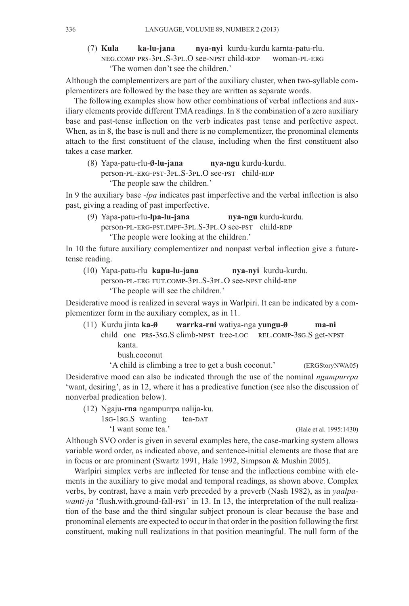(7) **Kula ka-lu-jana nya-nyi** kurdu-kurdu karnta-patu-rlu. neg.comp prs-3pl.S-3pl.O see-npst child-rdp woman-pl-erg 'The women don't see the children.'

Although the complementizers are part of the auxiliary cluster, when two-syllable complementizers are followed by the base they are written as separate words.

The following examples show how other combinations of verbal inflections and auxiliary elements provide different TMA readings. In 8 the combination of a zero auxiliary base and past-tense inflection on the verb indicates past tense and perfective aspect. When, as in 8, the base is null and there is no complementizer, the pronominal elements attach to the first constituent of the clause, including when the first constituent also takes a case marker.

(8) Yapa-patu-rlu-**∅-lu-jana nya-ngu** kurdu-kurdu. person-pl-erg-pst-3pl.S-3pl.O see-pst child-rdp 'The people saw the children.'

In 9 the auxiliary base *-lpa* indicates past imperfective and the verbal inflection is also past, giving a reading of past imperfective.

(9) Yapa-patu-rlu-**lpa-lu-jana nya-ngu** kurdu-kurdu. person-pl-erg-pst.impf-3pl.S-3pl.O see-pst child-rdp 'The people were looking at the children.'

In 10 the future auxiliary complementizer and nonpast verbal inflection give a futuretense reading.

(10) Yapa-patu-rlu **kapu-lu-jana nya-nyi** kurdu-kurdu. person-pl-erg fut.comp-3pl.S-3pl.O see-npst child-rdp 'The people will see the children.'

Desiderative mood is realized in several ways in Warlpiri. It can be indicated by a complementizer form in the auxiliary complex, as in 11.

(11) Kurdu jinta **ka-∅ warrka-rni** watiya-nga **yungu-∅ ma-ni** child one PRS-3sG.S climb-NPST tree-LOC REL.COMP-3sG.S get-NPST kanta. bush.coconut

'A child is climbing a tree to get a bush coconut.' (ERGStoryNWA05)

Desiderative mood can also be indicated through the use of the nominal *ngampurrpa* 'want, desiring', as in 12, where it has a predicative function (see also the discussion of nonverbal predication below).

(12) Ngaju**-rna** ngampurrpa nalija-ku.

1sg-1sg.S wanting tea-DAT 'I want some tea.' (Hale et al. 1995:1430)

Although SVO order is given in several examples here, the case-marking system allows variable word order, as indicated above, and sentence-initial elements are those that are in focus or are prominent (Swartz 1991, Hale 1992, Simpson & Mushin 2005).

Warlpiri simplex verbs are inflected for tense and the inflections combine with elements in the auxiliary to give modal and temporal readings, as shown above. Complex verbs, by contrast, have a main verb preceded by a preverb (Nash 1982), as in *yaalpawanti-ja* 'flush.with.ground-fall-pst' in 13. In 13, the interpretation of the null realization of the base and the third singular subject pronoun is clear because the base and pronominal elements are expected to occur in that order in the position following the first constituent, making null realizations in that position meaningful. The null form of the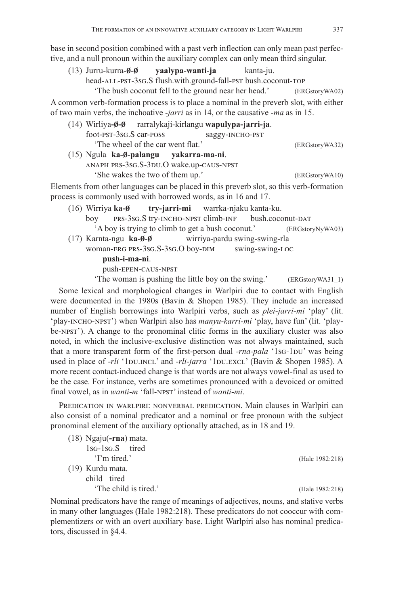base in second position combined with a past verb inflection can only mean past perfective, and a null pronoun within the auxiliary complex can only mean third singular.

(13) Jurru-kurra**-∅-∅ yaalypa-wanti-ja** kanta-ju. head-all-pst-3sg.S flush.with.ground-fall-pst bush.coconut-top 'The bush coconut fell to the ground near her head.' (ERGstoryWA02)

A common verb-formation process is to place a nominal in the preverb slot, with either of two main verbs, the inchoative *-jarri* as in 14, or the causative *-ma* as in 15.

- (14) Wirliya**-∅-∅** rarralykaji-kirlangu **wapulypa-jarri-ja**. foot-pst-3sg.S car-poss saggy-INCHO-pst 'The wheel of the car went flat.' (ERGstoryWA32)
- (15) Ngula **ka-∅-palangu yakarra-ma-ni**. anaph prs-3sg.S-3du.O wake.up-caus-npst 'She wakes the two of them up.' (ERGstoryWA10)

Elements from other languages can be placed in this preverb slot, so this verb-formation process is commonly used with borrowed words, as in 16 and 17.

(16) Wirriya **ka-∅ try-jarri-mi** warrka-njaku kanta-ku.

boy PRS-3sg.S try-INCHO-NPST climb-INF bush.coconut-DAT 'A boy is trying to climb to get a bush coconut.' (ERGstoryNyWA03)

- (17) Karnta-ngu **ka-∅-∅** wirriya-pardu swing-swing-rla woman-ERG PRS-3sG.S-3sG.O boy-DIM swing-swing-LOC **push-i-ma-ni**.
	- push-epen-caus-npst

'The woman is pushing the little boy on the swing.' (ERGstoryWA31\_1)

Some lexical and morphological changes in Warlpiri due to contact with English were documented in the 1980s (Bavin & Shopen 1985). They include an increased number of English borrowings into Warlpiri verbs, such as *plei-jarri-mi* 'play' (lit. 'play-INCHO-NPST') when Warlpiri also has *manyu-karri-mi* 'play, have fun' (lit. 'playbe-npst'). A change to the pronominal clitic forms in the auxiliary cluster was also noted, in which the inclusive-exclusive distinction was not always maintained, such that a more transparent form of the first-person dual *-rna-pala* '1sG-1pu' was being used in place of *-rli* '1DU.INCL' and *-rli-jarra* '1DU.EXCL' (Bavin & Shopen 1985). A more recent contact-induced change is that words are not always vowel-final as used to be the case. For instance, verbs are sometimes pronounced with a devoiced or omitted final vowel, as in *wanti-m* 'fall-npst' instead of *wanti-mi*.

Predication in warlpiri: nonverbal predication. Main clauses in Warlpiri can also consist of a nominal predicator and a nominal or free pronoun with the subject pronominal element of the auxiliary optionally attached, as in 18 and 19.

| $(18)$ Ngaju(-rna) mata.  |                 |
|---------------------------|-----------------|
| $1$ s $G-1$ s $G.S$ tired |                 |
| 'I'm tired.'              | (Hale 1982:218) |
| (19) Kurdu mata.          |                 |
| child tired               |                 |
| 'The child is tired.'     | (Hale 1982:218) |

Nominal predicators have the range of meanings of adjectives, nouns, and stative verbs in many other languages (Hale 1982:218). These predicators do not cooccur with complementizers or with an overt auxiliary base. Light Warlpiri also has nominal predicators, discussed in §4.4.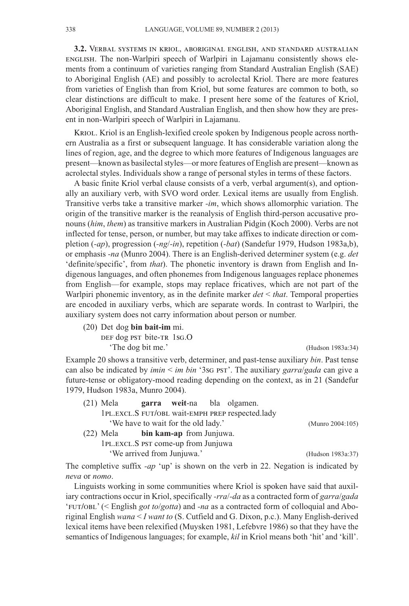**3.2.** Verbal systems in kriol, aboriginal english, and standard australian english. The non-Warlpiri speech of Warlpiri in Lajamanu consistently shows elements from a continuum of varieties ranging from Standard Australian English (SAE) to Aboriginal English (AE) and possibly to acrolectal Kriol. There are more features from varieties of English than from Kriol, but some features are common to both, so clear distinctions are difficult to make. I present here some of the features of Kriol, Aboriginal English, and Standard Australian English, and then show how they are present in non-Warlpiri speech of Warlpiri in Lajamanu.

Kriol. Kriol is an English-lexified creole spoken by Indigenous people across northern Australia as a first or subsequent language. It has considerable variation along the lines of region, age, and the degree to which more features of Indigenous languages are present—known as basilectal styles—or more features of English are present—known as acrolectal styles. Individuals show a range of personal styles in terms of these factors.

A basic finite Kriol verbal clause consists of a verb, verbal argument(s), and optionally an auxiliary verb, with SVO word order. Lexical items are usually from English. Transitive verbs take a transitive marker *-im*, which shows allomorphic variation. The origin of the transitive marker is the reanalysis of English third-person accusative pronouns (*him*, *them*) as transitive markers in Australian Pidgin (Koch 2000). Verbs are not inflected for tense, person, or number, but may take affixes to indicate direction or completion (*-ap*), progression (*-ng*/*-in*), repetition (*-bat*) (Sandefur 1979, Hudson 1983a,b), or emphasis *-na* (Munro 2004). There is an English-derived determiner system (e.g. *det* 'definite/specific', from *that*). The phonetic inventory is drawn from English and Indigenous languages, and often phonemes from Indigenous languages replace phonemes from English—for example, stops may replace fricatives, which are not part of the Warlpiri phonemic inventory, as in the definite marker *det* < *that*. Temporal properties are encoded in auxiliary verbs, which are separate words. In contrast to Warlpiri, the auxiliary system does not carry information about person or number.

(20) Det dog **bin bait-im** mi. DEF dog PST bite-TR 1sG.O 'The dog bit me.' (Hudson 1983a:34)

Example 20 shows a transitive verb, determiner, and past-tense auxiliary *bin*. Past tense can also be indicated by *imin* < *im bin* '3sg pst'. The auxiliary *garra*/*gada* can give a future-tense or obligatory-mood reading depending on the context, as in 21 (Sandefur 1979, Hudson 1983a, Munro 2004).

| $(21)$ Mela | garra weit-na bla olgamen.                 |                                                         |                  |
|-------------|--------------------------------------------|---------------------------------------------------------|------------------|
|             |                                            | <b>IPL.EXCL.S</b> FUT/OBL wait-EMPH PREP respected.lady |                  |
|             | 'We have to wait for the old lady.'        |                                                         | (Munro 2004:105) |
| $(22)$ Mela | bin kam-ap from Junjuwa.                   |                                                         |                  |
|             | <b>IPL.EXCL.S</b> PST come-up from Junjuwa |                                                         |                  |

'We arrived from Junjuwa.' (Hudson 1983a:37)

The completive suffix *-ap* 'up' is shown on the verb in 22. Negation is indicated by *neva* or *nomo*.

Linguists working in some communities where Kriol is spoken have said that auxiliary contractions occur in Kriol, specifically *-rra*/*-da* as a contracted form of *garra*/*gada* 'fut/obl' (< English *got to*/*gotta*) and *-na* as a contracted form of colloquial and Aboriginal English *wana* < *I want to* (S. Cutfield and G. Dixon, p.c.). Many English-derived lexical items have been relexified (Muysken 1981, Lefebvre 1986) so that they have the semantics of Indigenous languages; for example, *kil* in Kriol means both 'hit' and 'kill'.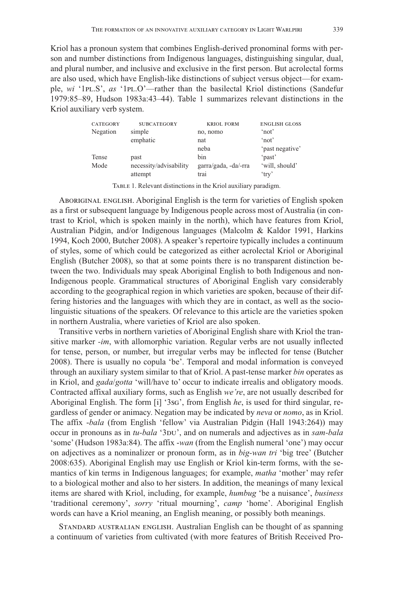Kriol has a pronoun system that combines English-derived pronominal forms with person and number distinctions from Indigenous languages, distinguishing singular, dual, and plural number, and inclusive and exclusive in the first person. But acrolectal forms are also used, which have English-like distinctions of subject versus object—for example, *wi* '1pl.S', *as* '1pl.O'—rather than the basilectal Kriol distinctions (Sandefur 1979:85–89, Hudson 1983a:43–44). Table 1 summarizes relevant distinctions in the Kriol auxiliary verb system.

| <b>CATEGORY</b> | <b>SUBCATEGORY</b>     | <b>KRIOL FORM</b>    | <b>ENGLISH GLOSS</b> |
|-----------------|------------------------|----------------------|----------------------|
| Negation        | simple                 | no, nomo             | 'not'                |
|                 | emphatic               | nat                  | 'not'                |
|                 |                        | neba                 | 'past negative'      |
| Tense           | past                   | bin                  | 'past'               |
| Mode            | necessity/advisability | garra/gada, -da/-rra | 'will, should'       |
|                 | attempt                | trai                 | 'try'                |

TABLE 1. Relevant distinctions in the Kriol auxiliary paradigm.

Aboriginal english. Aboriginal English is the term for varieties of English spoken as a first or subsequent language by Indigenous people across most of Australia (in contrast to Kriol, which is spoken mainly in the north), which have features from Kriol, Australian Pidgin, and/or Indigenous languages (Malcolm & Kaldor 1991, Harkins 1994, Koch 2000, Butcher 2008). A speaker's repertoire typically includes a continuum of styles, some of which could be categorized as either acrolectal Kriol or Aboriginal English (Butcher 2008), so that at some points there is no transparent distinction between the two. Individuals may speak Aboriginal English to both Indigenous and non-Indigenous people. Grammatical structures of Aboriginal English vary considerably according to the geographical region in which varieties are spoken, because of their differing histories and the languages with which they are in contact, as well as the sociolinguistic situations of the speakers. Of relevance to this article are the varieties spoken in northern Australia, where varieties of Kriol are also spoken.

Transitive verbs in northern varieties of Aboriginal English share with Kriol the transitive marker *-im*, with allomorphic variation. Regular verbs are not usually inflected for tense, person, or number, but irregular verbs may be inflected for tense (Butcher 2008). There is usually no copula 'be'. Temporal and modal information is conveyed through an auxiliary system similar to that of Kriol. A past-tense marker *bin* operates as in Kriol, and *gada*/*gotta* 'will/have to' occur to indicate irrealis and obligatory moods. Contracted affixal auxiliary forms, such as English *we're*, are not usually described for Aboriginal English. The form [i] '3sg', from English *he*, is used for third singular, regardless of gender or animacy. Negation may be indicated by *neva* or *nomo*, as in Kriol. The affix -*bala* (from English 'fellow' via Australian Pidgin (Hall 1943:264)) may occur in pronouns as in *tu-bala* '3DU', and on numerals and adjectives as in *sam-bala* 'some'(Hudson 1983a:84). The affix -*wan* (from the English numeral 'one') may occur on adjectives as a nominalizer or pronoun form, as in *big-wan tri* 'big tree' (Butcher 2008:635). Aboriginal English may use English or Kriol kin-term forms, with the semantics of kin terms in Indigenous languages; for example, *matha* 'mother' may refer to a biological mother and also to her sisters. In addition, the meanings of many lexical items are shared with Kriol, including, for example, *humbug* 'be a nuisance', *business* 'traditional ceremony', *sorry* 'ritual mourning', *camp* 'home'. Aboriginal English words can have a Kriol meaning, an English meaning, or possibly both meanings.

Standard australian english. Australian English can be thought of as spanning a continuum of varieties from cultivated (with more features of British Received Pro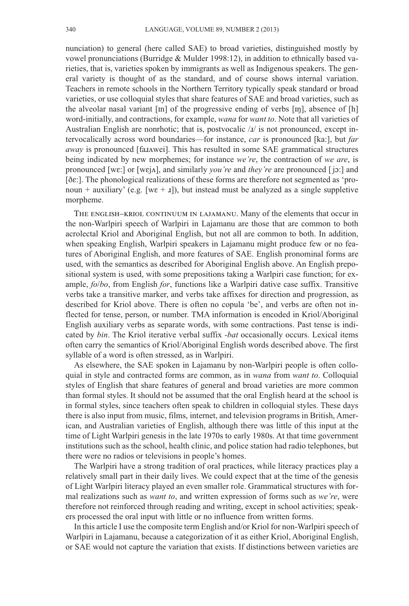nunciation) to general (here called SAE) to broad varieties, distinguished mostly by vowel pronunciations (Burridge & Mulder 1998:12), in addition to ethnically based varieties, that is, varieties spoken by immigrants as well as Indigenous speakers. The general variety is thought of as the standard, and of course shows internal variation. Teachers in remote schools in the Northern Territory typically speak standard or broad varieties, or use colloquial styles that share features of SAE and broad varieties, such as the alveolar nasal variant  $\lceil \text{m} \rceil$  of the progressive ending of verbs  $\lceil \text{m} \rceil$ , absence of  $\lceil \text{h} \rceil$ word-initially, and contractions, for example, *wana* for *want to*. Note that all varieties of Australian English are nonrhotic; that is, postvocalic  $\lambda/\lambda$  is not pronounced, except intervocalically across word boundaries—for instance, *car* is pronounced [ka:], but *far away* is pronounced [faɹʌwei]. This has resulted in some SAE grammatical structures being indicated by new morphemes; for instance *we're*, the contraction of *we are*, is pronounced [wɛ:] or [wɛjʌ], and similarly *you're* and *they're* are pronounced [ jɔ:] and [ðɛ:]. The phonological realizations of these forms are therefore not segmented as 'pronoun + auxiliary' (e.g. [wɛ +  $x$ ]), but instead must be analyzed as a single suppletive morpheme.

The english–kriol continuum in lajamanu. Many of the elements that occur in the non-Warlpiri speech of Warlpiri in Lajamanu are those that are common to both acrolectal Kriol and Aboriginal English, but not all are common to both. In addition, when speaking English, Warlpiri speakers in Lajamanu might produce few or no features of Aboriginal English, and more features of SAE. English pronominal forms are used, with the semantics as described for Aboriginal English above. An English prepositional system is used, with some prepositions taking a Warlpiri case function; for example, *fo*/*bo*, from English *for*, functions like a Warlpiri dative case suffix. Transitive verbs take a transitive marker, and verbs take affixes for direction and progression, as described for Kriol above. There is often no copula 'be', and verbs are often not inflected for tense, person, or number. TMA information is encoded in Kriol/Aboriginal English auxiliary verbs as separate words, with some contractions. Past tense is indicated by *bin*. The Kriol iterative verbal suffix *-bat* occasionally occurs. Lexical items often carry the semantics of Kriol/Aboriginal English words described above. The first syllable of a word is often stressed, as in Warlpiri.

As elsewhere, the SAE spoken in Lajamanu by non-Warlpiri people is often colloquial in style and contracted forms are common, as in *wana* from *want to*. Colloquial styles of English that share features of general and broad varieties are more common than formal styles. It should not be assumed that the oral English heard at the school is in formal styles, since teachers often speak to children in colloquial styles. These days there is also input from music, films, internet, and television programs in British, American, and Australian varieties of English, although there was little of this input at the time of Light Warlpiri genesis in the late 1970s to early 1980s. At that time government institutions such as the school, health clinic, and police station had radio telephones, but there were no radios or televisions in people's homes.

The Warlpiri have a strong tradition of oral practices, while literacy practices play a relatively small part in their daily lives. We could expect that at the time of the genesis of Light Warlpiri literacy played an even smaller role. Grammatical structures with formal realizations such as *want to*, and written expression of forms such as *we're*, were therefore not reinforced through reading and writing, except in school activities; speakers processed the oral input with little or no influence from written forms.

In this article I use the composite term English and/or Kriol for non-Warlpirispeech of Warlpiri in Lajamanu, because a categorization of it as either Kriol, Aboriginal English, or SAE would not capture the variation that exists. If distinctions between varieties are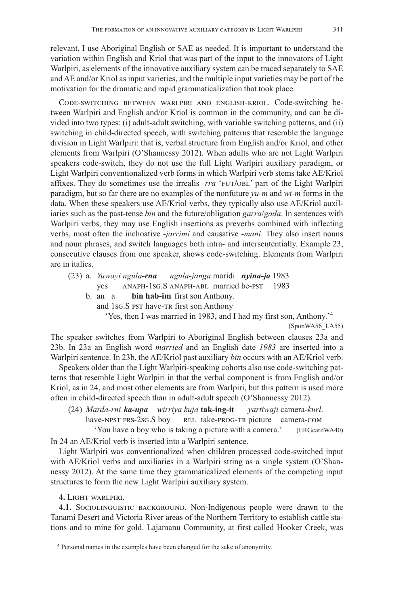relevant, I use Aboriginal English or SAE as needed. It is important to understand the variation within English and Kriol that was part of the input to the innovators of Light Warlpiri, as elements of the innovative auxiliary system can be traced separately to SAE andAE and/or Kriol as input varieties, and the multiple input varieties may be part of the motivation for the dramatic and rapid grammaticalization that took place.

Code-switching between warlpiri and english-kriol. Code-switching between Warlpiri and English and/or Kriol is common in the community, and can be divided into two types: (i) adult-adult switching, with variable switching patterns, and (ii) switching in child-directed speech, with switching patterns that resemble the language division in Light Warlpiri: that is, verbal structure from English and/or Kriol, and other elements from Warlpiri (O'Shannessy 2012). When adults who are not Light Warlpiri speakers code-switch, they do not use the full Light Warlpiri auxiliary paradigm, or Light Warlpiri conventionalized verb forms in which Warlpiri verb stems take AE/Kriol affixes. They do sometimes use the irrealis *-rra* 'FUT/OBL' part of the Light Warlpiri paradigm, but so far there are no examples of the nonfuture *yu-m* and *wi-m* forms in the data. When these speakers use AE/Kriol verbs, they typically also use AE/Kriol auxiliaries such as the past-tense *bin* and the future/obligation *garra*/*gada*. In sentences with Warlpiri verbs, they may use English insertions as preverbs combined with inflecting verbs, most often the inchoative *-jarrimi* and causative *-mani*. They also insert nouns and noun phrases, and switch languages both intra- and intersententially. Example 23, consecutive clauses from one speaker, shows code-switching. Elements from Warlpiri are in italics.

(23) a. *Yuwayi ngula-rna ngula-janga* maridi *nyina-ja* 1983 yes anaph-1sg.S anaph-abl married be-pst 1983

b. an a **bin hab-im** first son Anthony.

and 1sg.S PST have-TR first son Anthony

'Yes, then I was married in 1983, and I had my first son, Anthony.'<sup>4</sup>

(SponWA56\_LA55)

The speaker switches from Warlpiri to Aboriginal English between clauses 23a and 23b. In 23a an English word *married* and an English date *1983* are inserted into a Warlpiri sentence. In 23b, the AE/Kriol past auxiliary *bin* occurs with an AE/Kriol verb.

Speakers older than the Light Warlpiri-speaking cohorts also use code-switching patterns that resemble Light Warlpiri in that the verbal component is from English and/or Kriol, as in 24, and most other elements are from Warlpiri, but this pattern is used more often in child-directed speech than in adult-adult speech (O'Shannessy 2012).

(24) *Marda-rni ka-npa wirriya kuja* **tak-ing-it** *yartiwaji* camera*-kurl*. have-NPST PRS-2sG.S boy REL take-PROG-TR picture camera-COM 'You have a boy who is taking a picture with a camera.' (ERGcardWA40)

In 24 an AE/Kriol verb is inserted into a Warlpiri sentence.

Light Warlpiri was conventionalized when children processed code-switched input with AE/Kriol verbs and auxiliaries in a Warlpiri string as a single system (O'Shannessy 2012). At the same time they grammaticalized elements of the competing input structures to form the new Light Warlpiri auxiliary system.

**4.** Light warlpiri.

**4.1.** Sociolinguistic background. Non-Indigenous people were drawn to the Tanami Desert and Victoria River areas of the Northern Territory to establish cattle stations and to mine for gold. Lajamanu Community, at first called Hooker Creek, was

<sup>4</sup> Personal names in the examples have been changed for the sake of anonymity.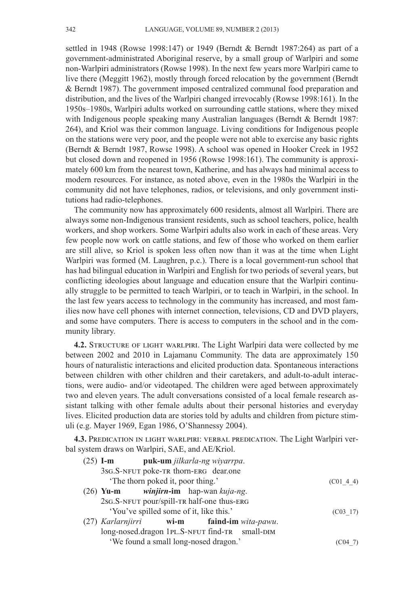settled in 1948 (Rowse 1998:147) or 1949 (Berndt & Berndt 1987:264) as part of a government-administrated Aboriginal reserve, by a small group of Warlpiri and some non-Warlpiri administrators (Rowse 1998). In the next few years more Warlpiri came to live there (Meggitt 1962), mostly through forced relocation by the government (Berndt & Berndt 1987). The government imposed centralized communal food preparation and distribution, and the lives of the Warlpiri changed irrevocably (Rowse 1998:161). In the 1950s–1980s, Warlpiri adults worked on surrounding cattle stations, where they mixed with Indigenous people speaking many Australian languages (Berndt & Berndt 1987: 264), and Kriol was their common language. Living conditions for Indigenous people on the stations were very poor, and the people were not able to exercise any basic rights (Berndt & Berndt 1987, Rowse 1998). A school was opened in Hooker Creek in 1952 but closed down and reopened in 1956 (Rowse 1998:161). The community is approximately 600 km from the nearest town, Katherine, and has always had minimal access to modern resources. For instance, as noted above, even in the 1980s the Warlpiri in the community did not have telephones, radios, or televisions, and only government institutions had radio-telephones.

The community now has approximately 600 residents, almost all Warlpiri. There are always some non-Indigenous transient residents, such as school teachers, police, health workers, and shop workers. Some Warlpiri adults also work in each of these areas. Very few people now work on cattle stations, and few of those who worked on them earlier are still alive, so Kriol is spoken less often now than it was at the time when Light Warlpiri was formed (M. Laughren, p.c.). There is a local government-run school that has had bilingual education in Warlpiri and English for two periods of several years, but conflicting ideologies about language and education ensure that the Warlpiri continually struggle to be permitted to teach Warlpiri, or to teach in Warlpiri, in the school. In the last few years access to technology in the community has increased, and most families now have cell phones with internet connection, televisions, CD and DVD players, and some have computers. There is access to computers in the school and in the community library.

**4.2.** STRUCTURE OF LIGHT WARLPIRI. The Light Warlpiri data were collected by me between 2002 and 2010 in Lajamanu Community. The data are approximately 150 hours of naturalistic interactions and elicited production data. Spontaneous interactions between children with other children and their caretakers, and adult-to-adult interactions, were audio- and/or videotaped. The children were aged between approximately two and eleven years. The adult conversations consisted of a local female research assistant talking with other female adults about their personal histories and everyday lives. Elicited production data are stories told by adults and children from picture stimuli (e.g. Mayer 1969, Egan 1986, O'Shannessy 2004).

**4.3.** Predication in light warlpiri: verbal predication. The Light Warlpiri verbal system draws on Warlpiri, SAE, and AE/Kriol.

| $(25)$ I-m |                                   | puk-um jilkarla-ng wiyarrpa.                   |                   |
|------------|-----------------------------------|------------------------------------------------|-------------------|
|            |                                   | 3sG.S-NFUT poke-TR thorn-ERG dear.one          |                   |
|            | 'The thorn poked it, poor thing.' |                                                | $(C01 \; 4 \; 4)$ |
|            |                                   | $(26)$ Yu-m winjirn-im hap-wan kuja-ng.        |                   |
|            |                                   | 2sG.S-NFUT pour/spill-TR half-one thus-ERG     |                   |
|            |                                   | 'You've spilled some of it, like this.'        | $(C03 \t17)$      |
|            |                                   | (27) Karlarnjirri wi-m faind-im wita-pawu.     |                   |
|            |                                   | long-nosed.dragon 1PL.S-NFUT find-TR small-DIM |                   |
|            |                                   | 'We found a small long-nosed dragon.'          | (CO4 7)           |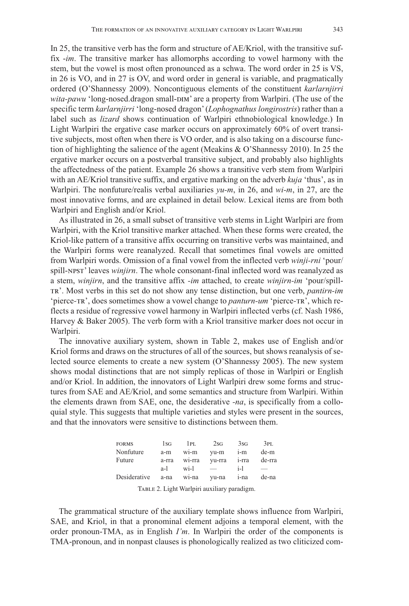In 25, the transitive verb has the form and structure of AE/Kriol, with the transitive suffix -*im*. The transitive marker has allomorphs according to vowel harmony with the stem, but the vowel is most often pronounced as a schwa. The word order in 25 is VS, in 26 is VO, and in 27 is OV, and word order in general is variable, and pragmatically ordered (O'Shannessy 2009). Noncontiguous elements of the constituent *karlarnjirri wita-pawu* 'long-nosed.dragon small-DIM' are a property from Warlpiri. (The use of the specific term *karlarnjirri* 'long-nosed dragon'(*Lophognathus longirostris*) rather than a label such as *lizard* shows continuation of Warlpiri ethnobiological knowledge.) In Light Warlpiri the ergative case marker occurs on approximately 60% of overt transitive subjects, most often when there is VO order, and is also taking on a discourse function of highlighting the salience of the agent (Meakins & O'Shannessy 2010). In 25 the ergative marker occurs on a postverbal transitive subject, and probably also highlights the affectedness of the patient. Example 26 shows a transitive verb stem from Warlpiri with an AE/Kriol transitive suffix, and ergative marking on the adverb *kuja* 'thus', as in Warlpiri. The nonfuture/realis verbal auxiliaries *yu-m*, in 26, and *wi-m*, in 27, are the most innovative forms, and are explained in detail below. Lexical items are from both Warlpiri and English and/or Kriol.

As illustrated in 26, a small subset of transitive verb stems in Light Warlpiri are from Warlpiri, with the Kriol transitive marker attached. When these forms were created, the Kriol-like pattern of a transitive affix occurring on transitive verbs was maintained, and the Warlpiri forms were reanalyzed. Recall that sometimes final vowels are omitted from Warlpiri words. Omission of a final vowel from the inflected verb *winji-rni* 'pour/ spill-npst' leaves *winjirn*. The whole consonant-final inflected word was reanalyzed as a stem, *winjirn*, and the transitive affix *-im* attached, to create *winjirn-im* 'pour/spilltr'. Most verbs in this set do not show any tense distinction, but one verb, *pantirn-im* 'pierce-tr', does sometimes show a vowel change to *panturn-um* 'pierce-tr', which reflects a residue of regressive vowel harmony in Warlpiri inflected verbs (cf. Nash 1986, Harvey & Baker 2005). The verb form with a Kriol transitive marker does not occur in Warlpiri.

The innovative auxiliary system, shown in Table 2, makes use of English and/or Kriol forms and draws on the structures of all of the sources, but shows reanalysis of selected source elements to create a new system (O'Shannessy 2005). The new system shows modal distinctions that are not simply replicas of those in Warlpiri or English and/or Kriol. In addition, the innovators of Light Warlpiri drew some forms and structures from SAE and AE/Kriol, and some semantics and structure from Warlpiri. Within the elements drawn from SAE, one, the desiderative *-na*, is specifically from a colloquial style. This suggests that multiple varieties and styles were present in the sources, and that the innovators were sensitive to distinctions between them.

| <b>FORMS</b> | $1_{SG}$ | 1PI.   | 2sG                   | 3s <sub>G</sub> | 3PL    |
|--------------|----------|--------|-----------------------|-----------------|--------|
| Nonfuture    | a-m      | wi-m   | yu-m i-m              |                 | de-m   |
| Future       | a-rra    | wi-rra | vu-rra i-rra          |                 | de-rra |
|              | a-l      | wi-l   | $\sim$                | $i-1$           |        |
| Desiderative |          |        | a-na wi-na yu-na i-na |                 | de-na  |

TABLE 2. Light Warlpiri auxiliary paradigm.

The grammatical structure of the auxiliary template shows influence from Warlpiri, SAE, and Kriol, in that a pronominal element adjoins a temporal element, with the order pronoun-TMA, as in English *I'm*. In Warlpiri the order of the components is TMA-pronoun, and in nonpast clauses is phonologically realized as two cliticized com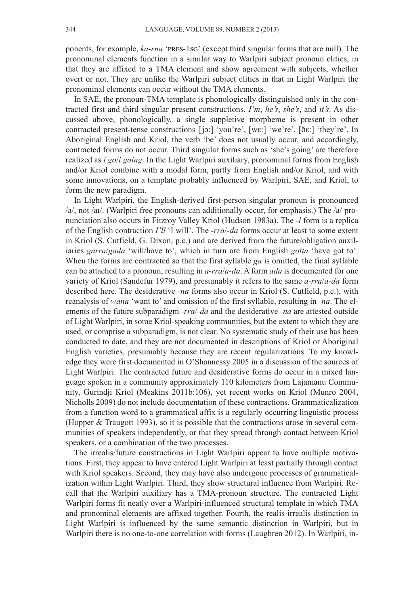ponents, for example, *ka-rna* 'pres-1sg' (except third singular forms that are null). The pronominal elements function in a similar way to Warlpiri subject pronoun clitics, in that they are affixed to a TMA element and show agreement with subjects, whether overt or not. They are unlike the Warlpiri subject clitics in that in Light Warlpiri the pronominal elements can occur without the TMA elements.

In SAE, the pronoun-TMA template is phonologically distinguished only in the contracted first and third singular present constructions, *I'm*, *he's*, *she's*, and *it's*. As discussed above, phonologically, a single suppletive morpheme is present in other contracted present-tense constructions [ jɔ:] 'you're', [wɛ:] 'we're', [ðɛ:] 'they're'. In Aboriginal English and Kriol, the verb 'be' does not usually occur, and accordingly, contracted forms do not occur. Third singular forms such as 'she's going' are therefore realized as *i go*/*i going*. In the Light Warlpiri auxiliary, pronominal forms from English and/or Kriol combine with a modal form, partly from English and/or Kriol, and with some innovations, on a template probably influenced by Warlpiri, SAE, and Kriol, to form the new paradigm.

In Light Warlpiri, the English-derived first-person singular pronoun is pronounced /a/, not /aɪ/. (Warlpiri free pronouns can additionally occur, for emphasis.) The /a/ pronunciation also occurs in Fitzroy Valley Kriol (Hudson 1983a). The *-l* form is a replica of the English contraction *I'll* 'I will'. The *-rra*/*-da* forms occur at least to some extent in Kriol (S. Cutfield, G. Dixon, p.c.) and are derived from the future/obligation auxiliaries *garra*/*gada* 'will/have to', which in turn are from English *gotta* 'have got to'. When the forms are contracted so that the first syllable *ga* is omitted, the final syllable can be attached to a pronoun, resulting in *a-rra*/*a-da*. A form *ada* is documented for one variety of Kriol (Sandefur 1979), and presumably it refers to the same *a-rra*/*a-da* form described here. The desiderative *-na* forms also occur in Kriol (S. Cutfield, p.c.), with reanalysis of *wana* 'want to' and omission of the first syllable, resulting in *-na*. The elements of the future subparadigm *-rra*/*-da* and the desiderative *-na* are attested outside of Light Warlpiri, in some Kriol-speaking communities, but the extent to which they are used, or comprise a subparadigm, is not clear. No systematic study of their use has been conducted to date, and they are not documented in descriptions of Kriol or Aboriginal English varieties, presumably because they are recent regularizations. To my knowledge they were first documented in O'Shannessy 2005 in a discussion of the sources of Light Warlpiri. The contracted future and desiderative forms do occur in a mixed language spoken in a community approximately 110 kilometers from Lajamanu Community, Gurindji Kriol (Meakins 2011b:106), yet recent works on Kriol (Munro 2004, Nicholls 2009) do not include documentation of these contractions. Grammaticalization from a function word to a grammatical affix is a regularly occurring linguistic process (Hopper & Traugott 1993), so it is possible that the contractions arose in several communities of speakers independently, or that they spread through contact between Kriol speakers, or a combination of the two processes.

The irrealis/future constructions in Light Warlpiri appear to have multiple motivations. First, they appear to have entered Light Warlpiri at least partially through contact with Kriol speakers. Second, they may have also undergone processes of grammaticalization within Light Warlpiri. Third, they show structural influence from Warlpiri. Recall that the Warlpiri auxiliary has a TMA-pronoun structure. The contracted Light Warlpiri forms fit neatly over a Warlpiri-influenced structural template in which TMA and pronominal elements are affixed together. Fourth, the realis-irrealis distinction in Light Warlpiri is influenced by the same semantic distinction in Warlpiri, but in Warlpiri there is no one-to-one correlation with forms (Laughren 2012). In Warlpiri, in-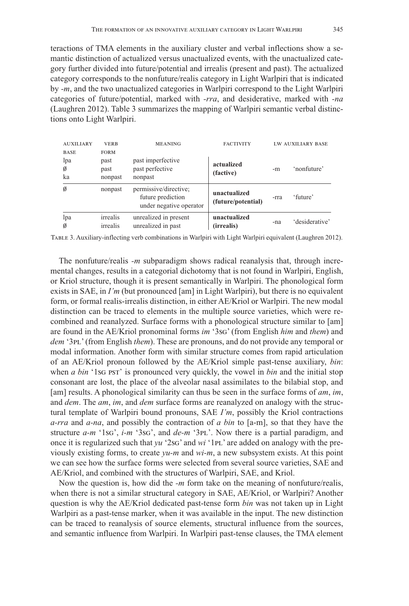teractions of TMA elements in the auxiliary cluster and verbal inflections show a semantic distinction of actualized versus unactualized events, with the unactualized category further divided into future/potential and irrealis (present and past). The actualized category corresponds to the nonfuture/realis category in Light Warlpiri that is indicated by *-m*, and the two unactualized categories in Warlpiri correspond to the Light Warlpiri categories of future/potential, marked with *-rra*, and desiderative, marked with *-na* (Laughren 2012). Table 3 summarizes the mapping of Warlpiri semantic verbal distinctions onto Light Warlpiri.

| <b>AUXILIARY</b> | <b>VERB</b>             | <b>MEANING</b>                                                        | <b>FACTIVITY</b>                   |      | <b>LW AUXILIARY BASE</b> |
|------------------|-------------------------|-----------------------------------------------------------------------|------------------------------------|------|--------------------------|
| <b>BASE</b>      | <b>FORM</b>             |                                                                       |                                    |      |                          |
| lpa<br>Ø<br>ka   | past<br>past<br>nonpast | past imperfective<br>past perfective<br>nonpast                       | actualized<br>(factive)            | -m   | 'nonfuture'              |
| Ø                | nonpast                 | permissive/directive;<br>future prediction<br>under negative operator | unactualized<br>(future/potential) | -rra | 'future'                 |
| lpa<br>Ø         | irrealis<br>irrealis    | unrealized in present<br>unrealized in past                           | unactualized<br>(irrealis)         | -na  | 'desiderative'           |

| TABLE 3. Auxiliary-inflecting verb combinations in Warlpiri with Light Warlpiri equivalent (Laughren 2012). |  |  |  |  |
|-------------------------------------------------------------------------------------------------------------|--|--|--|--|
|                                                                                                             |  |  |  |  |

The nonfuture/realis *-m* subparadigm shows radical reanalysis that, through incremental changes, results in a categorial dichotomy that is not found in Warlpiri, English, or Kriol structure, though it is present semantically in Warlpiri. The phonological form exists in SAE, in *I'm* (but pronounced [am] in Light Warlpiri), but there is no equivalent form, or formal realis-irrealis distinction, in either AE/Kriol or Warlpiri. The new modal distinction can be traced to elements in the multiple source varieties, which were recombined and reanalyzed. Surface forms with a phonological structure similar to [am] are found in the AE/Kriol pronominal forms *im* '3sg' (from English *him* and *them*) and *dem* '3pl'(from English *them*). These are pronouns, and do not provide any temporal or modal information. Another form with similar structure comes from rapid articulation of an AE/Kriol pronoun followed by the AE/Kriol simple past-tense auxiliary, *bin*: when *a bin* '1sq pst' is pronounced very quickly, the vowel in *bin* and the initial stop consonant are lost, the place of the alveolar nasal assimilates to the bilabial stop, and [am] results. A phonological similarity can thus be seen in the surface forms of *am*, *im*, and *dem*. The *am*, *im*, and *dem* surface forms are reanalyzed on analogy with the structural template of Warlpiri bound pronouns, SAE *I'm*, possibly the Kriol contractions *a-rra* and *a-na*, and possibly the contraction of *a bin* to [a-m], so that they have the structure *a-m* '1sg', *i-m* '3sg', and *de-m* '3pl'. Now there is a partial paradigm, and once it is regularized such that *yu* '2sG' and *wi* '1PL' are added on analogy with the previously existing forms, to create *yu-m* and *wi-m*, a new subsystem exists. At this point we can see how the surface forms were selected from several source varieties, SAE and AE/Kriol, and combined with the structures of Warlpiri, SAE, and Kriol.

Now the question is, how did the *-m* form take on the meaning of nonfuture/realis, when there is not a similar structural category in SAE, AE/Kriol, or Warlpiri? Another question is why the AE/Kriol dedicated past-tense form *bin* was not taken up in Light Warlpiri as a past-tense marker, when it was available in the input. The new distinction can be traced to reanalysis of source elements, structural influence from the sources, and semantic influence from Warlpiri. In Warlpiri past-tense clauses, the TMA element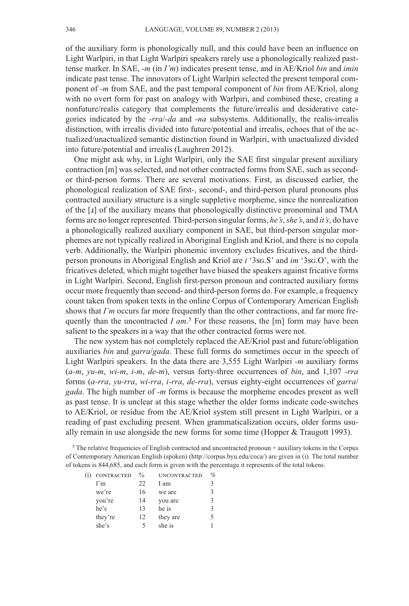of the auxiliary form is phonologically null, and this could have been an influence on Light Warlpiri, in that Light Warlpiri speakers rarely use a phonologically realized pasttense marker. In SAE, *-m* (in *I'm*) indicates present tense, and in AE/Kriol *bin* and *imin* indicate past tense. The innovators of Light Warlpiri selected the present temporal component of *-m* from SAE, and the past temporal component of *bin* from AE/Kriol, along with no overt form for past on analogy with Warlpiri, and combined these, creating a nonfuture/realis category that complements the future/irrealis and desiderative categories indicated by the *-rra*/*-da* and *-na* subsystems. Additionally, the realis-irrealis distinction, with irrealis divided into future/potential and irrealis, echoes that of the actualized/unactualized semantic distinction found in Warlpiri, with unactualized divided into future/potential and irrealis (Laughren 2012).

One might ask why, in Light Warlpiri, only the SAE first singular present auxiliary contraction [m] was selected, and not other contracted forms from SAE, such as secondor third-person forms. There are several motivations. First, as discussed earlier, the phonological realization of SAE first-, second-, and third-person plural pronouns plus contracted auxiliary structure is a single suppletive morpheme, since the nonrealization of the [ɹ] of the auxiliary means that phonologically distinctive pronominal and TMA forms are no longerrepresented.Third-person singularforms, *he's*,*she's*, and *it's*, do have a phonologically realized auxiliary component in SAE, but third-person singular morphemes are not typically realized in Aboriginal English and Kriol, and there is no copula verb. Additionally, the Warlpiri phonemic inventory excludes fricatives, and the thirdperson pronouns in Aboriginal English and Kriol are *i* '3sg.S' and *im* '3sg.O', with the fricatives deleted, which might together have biased the speakers against fricative forms in Light Warlpiri. Second, English first-person pronoun and contracted auxiliary forms occur more frequently than second- and third-person forms do. For example, a frequency count taken from spoken texts in the online Corpus of Contemporary American English shows that *I'm* occurs far more frequently than the other contractions, and far more frequently than the uncontracted *I am*. <sup>5</sup> For these reasons, the [m] form may have been salient to the speakers in a way that the other contracted forms were not.

The new system has not completely replaced the AE/Kriol past and future/obligation auxiliaries *bin* and *garra*/*gada*. These full forms do sometimes occur in the speech of Light Warlpiri speakers. In the data there are 3,555 Light Warlpiri *-m* auxiliary forms (*a-m*, *yu-m*, *wi-m*, *i-m*, *de-m*), versus forty-three occurrences of *bin*, and 1,107 *-rra* forms (*a-rra*, *yu-rra*, *wi-rra*, *i-rra*, *de-rra*), versus eighty-eight occurrences of *garra*/ *gada*. The high number of *-m* forms is because the morpheme encodes present as well as past tense. It is unclear at this stage whether the older forms indicate code-switches to AE/Kriol, or residue from the AE/Kriol system still present in Light Warlpiri, or a reading of past excluding present. When grammaticalization occurs, older forms usually remain in use alongside the new forms for some time (Hopper & Traugott 1993).

<sup>5</sup> The relative frequencies of English contracted and uncontracted pronoun + auxiliary tokens in the Corpus of Contemporary American English (spoken) (http://corpus.byu.edu/coca/) are given in (i). The total number of tokens is 844,685, and each form is given with the percentage it represents of the total tokens.

| <b>CONTRACTED</b> | $\frac{0}{0}$ | <b>UNCONTRACTED</b> | $\%$ |
|-------------------|---------------|---------------------|------|
| 1'm               | 22            | I am                |      |
| we're             | 16            | we are              | ٩    |
| you're            | 14            | you are             | κ    |
| he's              | 13            | he is               | 3    |
| they're           | 12            | they are            | 5    |
| she's             | 5             | she is              |      |
|                   |               |                     |      |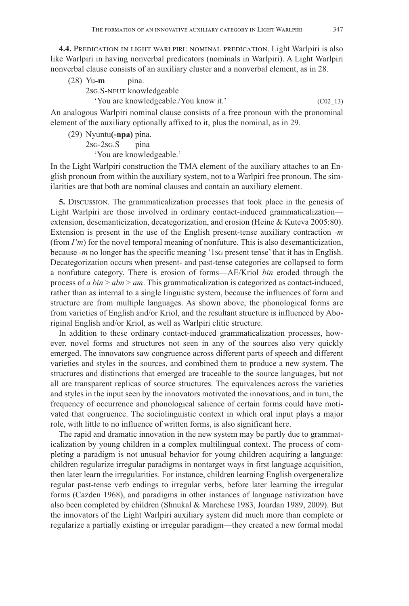**4.4.** Predication in light warlpiri: nominal predication. Light Warlpiri is also like Warlpiri in having nonverbal predicators (nominals in Warlpiri). A Light Warlpiri nonverbal clause consists of an auxiliary cluster and a nonverbal element, as in 28.

(28) Yu**-m** pina. 2sg.S-NFUT knowledgeable 'You are knowledgeable./You know it.' (C02\_13)

An analogous Warlpiri nominal clause consists of a free pronoun with the pronominal element of the auxiliary optionally affixed to it, plus the nominal, as in 29.

(29) Nyuntu**(-npa)** pina. 2sg-2sg.S pina 'You are knowledgeable.'

In the Light Warlpiri construction the TMA element of the auxiliary attaches to an English pronoun from within the auxiliary system, not to a Warlpiri free pronoun. The similarities are that both are nominal clauses and contain an auxiliary element.

**5.** Discussion. The grammaticalization processes that took place in the genesis of Light Warlpiri are those involved in ordinary contact-induced grammaticalization extension, desemanticization, decategorization, and erosion (Heine & Kuteva 2005:80). Extension is present in the use of the English present-tense auxiliary contraction *-m* (from *I'm*) for the novel temporal meaning of nonfuture. This is also desemanticization, because *-m* no longer has the specific meaning '1sg present tense'that it has in English. Decategorization occurs when present- and past-tense categories are collapsed to form a nonfuture category. There is erosion of forms—AE/Kriol *bin* eroded through the process of *a bin* > *abn* > *am*. This grammaticalization is categorized as contact-induced, rather than as internal to a single linguistic system, because the influences of form and structure are from multiple languages. As shown above, the phonological forms are from varieties of English and/or Kriol, and the resultant structure is influenced by Aboriginal English and/or Kriol, as well as Warlpiri clitic structure.

In addition to these ordinary contact-induced grammaticalization processes, however, novel forms and structures not seen in any of the sources also very quickly emerged. The innovators saw congruence across different parts of speech and different varieties and styles in the sources, and combined them to produce a new system. The structures and distinctions that emerged are traceable to the source languages, but not all are transparent replicas of source structures. The equivalences across the varieties and styles in the input seen by the innovators motivated the innovations, and in turn, the frequency of occurrence and phonological salience of certain forms could have motivated that congruence. The sociolinguistic context in which oral input plays a major role, with little to no influence of written forms, is also significant here.

The rapid and dramatic innovation in the new system may be partly due to grammaticalization by young children in a complex multilingual context. The process of completing a paradigm is not unusual behavior for young children acquiring a language: children regularize irregular paradigms in nontarget ways in first language acquisition, then later learn the irregularities. For instance, children learning English overgeneralize regular past-tense verb endings to irregular verbs, before later learning the irregular forms (Cazden 1968), and paradigms in other instances of language nativization have also been completed by children (Shnukal & Marchese 1983, Jourdan 1989, 2009). But the innovators of the Light Warlpiri auxiliary system did much more than complete or regularize a partially existing or irregular paradigm—they created a new formal modal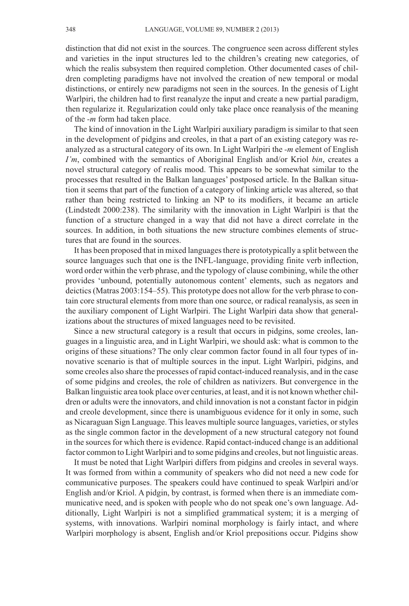distinction that did not exist in the sources. The congruence seen across different styles and varieties in the input structures led to the children's creating new categories, of which the realis subsystem then required completion. Other documented cases of children completing paradigms have not involved the creation of new temporal or modal distinctions, or entirely new paradigms not seen in the sources. In the genesis of Light Warlpiri, the children had to first reanalyze the input and create a new partial paradigm, then regularize it. Regularization could only take place once reanalysis of the meaning of the *-m* form had taken place.

The kind of innovation in the Light Warlpiri auxiliary paradigm is similar to that seen in the development of pidgins and creoles, in that a part of an existing category was reanalyzed as a structural category of its own. In Light Warlpiri the *-m* element of English *I'm*, combined with the semantics of Aboriginal English and/or Kriol *bin*, creates a novel structural category of realis mood. This appears to be somewhat similar to the processes that resulted in the Balkan languages' postposed article. In the Balkan situation it seems that part of the function of a category of linking article was altered, so that rather than being restricted to linking an NP to its modifiers, it became an article (Lindstedt 2000:238). The similarity with the innovation in Light Warlpiri is that the function of a structure changed in a way that did not have a direct correlate in the sources. In addition, in both situations the new structure combines elements of structures that are found in the sources.

It has been proposed that in mixed languages there is prototypically a split between the source languages such that one is the INFL-language, providing finite verb inflection, word order within the verb phrase, and the typology of clause combining, while the other provides 'unbound, potentially autonomous content' elements, such as negators and deictics(Matras 2003:154–55). This prototype does not allow for the verb phrase to contain core structural elements from more than one source, or radical reanalysis, as seen in the auxiliary component of Light Warlpiri. The Light Warlpiri data show that generalizations about the structures of mixed languages need to be revisited.

Since a new structural category is a result that occurs in pidgins, some creoles, languages in a linguistic area, and in Light Warlpiri, we should ask: what is common to the origins of these situations? The only clear common factor found in all four types of innovative scenario is that of multiple sources in the input. Light Warlpiri, pidgins, and some creoles also share the processes of rapid contact-induced reanalysis, and in the case of some pidgins and creoles, the role of children as nativizers. But convergence in the Balkan linguistic area took place over centuries, at least, and it is not known whether children or adults were the innovators, and child innovation is not a constant factor in pidgin and creole development, since there is unambiguous evidence for it only in some, such as Nicaraguan Sign Language. This leaves multiple source languages, varieties, or styles as the single common factor in the development of a new structural category not found in the sources for which there is evidence. Rapid contact-induced change is an additional factor common to Light Warlpiri and to some pidgins and creoles, but not linguistic areas.

It must be noted that Light Warlpiri differs from pidgins and creoles in several ways. It was formed from within a community of speakers who did not need a new code for communicative purposes. The speakers could have continued to speak Warlpiri and/or English and/or Kriol. A pidgin, by contrast, is formed when there is an immediate communicative need, and is spoken with people who do not speak one's own language. Additionally, Light Warlpiri is not a simplified grammatical system; it is a merging of systems, with innovations. Warlpiri nominal morphology is fairly intact, and where Warlpiri morphology is absent, English and/or Kriol prepositions occur. Pidgins show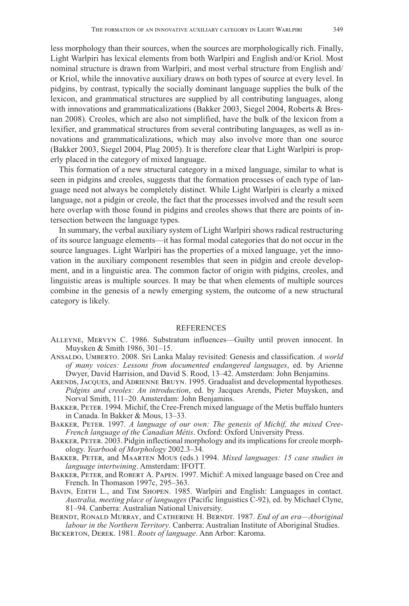less morphology than their sources, when the sources are morphologically rich. Finally, Light Warlpiri has lexical elements from both Warlpiri and English and/or Kriol. Most nominal structure is drawn from Warlpiri, and most verbal structure from English and/ or Kriol, while the innovative auxiliary draws on both types of source at every level. In pidgins, by contrast, typically the socially dominant language supplies the bulk of the lexicon, and grammatical structures are supplied by all contributing languages, along with innovations and grammaticalizations (Bakker 2003, Siegel 2004, Roberts & Bresnan 2008). Creoles, which are also not simplified, have the bulk of the lexicon from a lexifier, and grammatical structures from several contributing languages, as well as innovations and grammaticalizations, which may also involve more than one source (Bakker 2003, Siegel 2004, Plag 2005). It is therefore clear that Light Warlpiri is properly placed in the category of mixed language.

This formation of a new structural category in a mixed language, similar to what is seen in pidgins and creoles, suggests that the formation processes of each type of language need not always be completely distinct. While Light Warlpiri is clearly a mixed language, not a pidgin or creole, the fact that the processes involved and the result seen here overlap with those found in pidgins and creoles shows that there are points of intersection between the language types.

In summary, the verbal auxiliary system of Light Warlpiri shows radical restructuring of its source language elements—it has formal modal categories that do not occur in the source languages. Light Warlpiri has the properties of a mixed language, yet the innovation in the auxiliary component resembles that seen in pidgin and creole development, and in a linguistic area. The common factor of origin with pidgins, creoles, and linguistic areas is multiple sources. It may be that when elements of multiple sources combine in the genesis of a newly emerging system, the outcome of a new structural category is likely.

## **REFERENCES**

- Alleyne, Mervyn C. 1986. Substratum influences—Guilty until proven innocent. In Muysken & Smith 1986, 301–15.
- Ansaldo, Umberto. 2008. Sri Lanka Malay revisited: Genesis and classification. *A world of many voices: Lessons from documented endangered languages*, ed. by Arienne Dwyer, David Harrision, and David S. Rood, 13–42. Amsterdam: John Benjamins.
- Arends, Jacques, and Adrienne Bruyn. 1995. Gradualist and developmental hypotheses. *Pidgins and creoles: An introduction*, ed. by Jacques Arends, Pieter Muysken, and Norval Smith, 111–20. Amsterdam: John Benjamins.
- BAKKER, PETER. 1994. Michif, the Cree-French mixed language of the Metis buffalo hunters in Canada. In Bakker & Mous, 13–33.
- Bakker, Peter. 1997. *A language of our own: The genesis of Michif, the mixed Cree-French language of the Canadian Métis*. Oxford: Oxford University Press.
- BAKKER, PETER. 2003. Pidgin inflectional morphology and its implications for creole morphology. *Yearbook of Morphology* 2002.3–34.
- Bakker, Peter, and Maarten Mous (eds.) 1994. *Mixed languages: 15 case studies in language intertwining*. Amsterdam: IFOTT.
- Bakker, Peter, and Robert A. Papen. 1997. Michif: A mixed language based on Cree and French. In Thomason 1997c, 295–363.
- BAVIN, EDITH L., and TIM SHOPEN. 1985. Warlpiri and English: Languages in contact. *Australia, meeting place of languages* (Pacific linguistics C-92), ed. by Michael Clyne, 81–94. Canberra: Australian National University.
- BERNDT, RONALD MURRAY, and CATHERINE H. BERNDT. 1987. *End of an era—Aboriginal labour in the Northern Territory*. Canberra: Australian Institute of Aboriginal Studies.
- Bickerton, Derek. 1981. *Roots of language*. Ann Arbor: Karoma.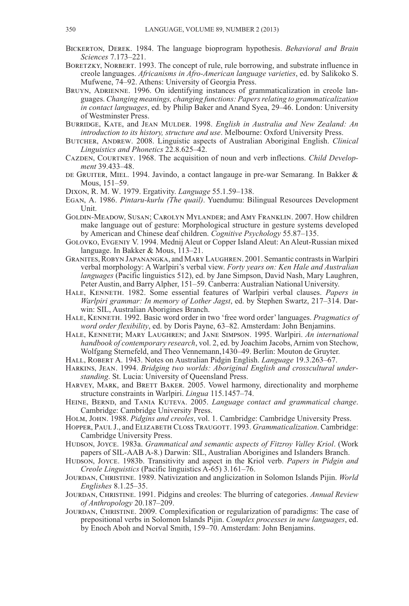- Bickerton, Derek. 1984. The language bioprogram hypothesis. *Behavioral and Brain Sciences* 7.173–221.
- BORETZKY, NORBERT. 1993. The concept of rule, rule borrowing, and substrate influence in creole languages. *Africanisms in Afro-American language varieties*, ed. by Salikoko S. Mufwene, 74–92. Athens: University of Georgia Press.
- BRUYN, ADRIENNE. 1996. On identifying instances of grammaticalization in creole languages. *Changing meanings, changing functions: Papersrelating to grammaticalization in contact languages*, ed. by Philip Baker and Anand Syea, 29–46. London: University of Westminster Press.
- Burridge, Kate, and Jean Mulder. 1998. *English in Australia and New Zealand: An introduction to its history, structure and use*. Melbourne: Oxford University Press.
- Butcher, Andrew. 2008. Linguistic aspects of Australian Aboriginal English. *Clinical Linguistics and Phonetics* 22.8.625–42.
- Cazden, Courtney. 1968. The acquisition of noun and verb inflections. *Child Development* 39.433–48.
- de Gruiter, Miel. 1994. Javindo, a contact langauge in pre-war Semarang. In Bakker & Mous, 151–59.
- Dixon, R. M. W. 1979. Ergativity. *Language* 55.1.59–138.
- Egan, A. 1986. *Pintaru-kurlu (The quail)*. Yuendumu: Bilingual Resources Development Unit.
- Goldin-Meadow, Susan; Carolyn Mylander; and Amy Franklin. 2007. How children make language out of gesture: Morphological structure in gesture systems developed by American and Chinese deaf children. *Cognitive Psychology* 55.87–135.
- Golovko, Evgeniy V. 1994. Mednij Aleut or Copper Island Aleut: An Aleut-Russian mixed language. In Bakker & Mous, 113–21.
- GRANITES, ROBYN JAPANANGKA, and MARY LAUGHREN. 2001. Semantic contrasts in Warlpiri verbal morphology: A Warlpiri's verbal view. *Forty years on: Ken Hale and Australian languages* (Pacific linguistics 512), ed. by Jane Simpson, David Nash, Mary Laughren, Peter Austin, and Barry Alpher, 151–59. Canberra: Australian National University.
- Hale, Kenneth. 1982. Some essential features of Warlpiri verbal clauses. *Papers in Warlpiri grammar: In memory of Lother Jagst*, ed. by Stephen Swartz, 217–314. Darwin: SIL, Australian Aborigines Branch.
- Hale, Kenneth. 1992. Basic word order in two 'free word order'languages. *Pragmatics of word order flexibility*, ed. by Doris Payne, 63–82. Amsterdam: John Benjamins.
- Hale, Kenneth; Mary Laughren; and Jane Simpson. 1995. Warlpiri. *An international handbook of contemporary research*, vol. 2, ed. by Joachim Jacobs,Arnim von Stechow, Wolfgang Sternefeld, and Theo Vennemann,1430–49. Berlin: Mouton de Gruyter.
- Hall, Robert A. 1943. Notes on Australian Pidgin English. *Language* 19.3.263–67.
- Harkins, Jean. 1994. *Bridging two worlds: Aboriginal English and crosscultural understanding*. St. Lucia: University of Queensland Press.
- HARVEY, MARK, and BRETT BAKER. 2005. Vowel harmony, directionality and morpheme structure constraints in Warlpiri. *Lingua* 115.1457–74.
- Heine, Bernd, and Tania Kuteva. 2005. *Language contact and grammatical change*. Cambridge: Cambridge University Press.
- Holm, John. 1988. *Pidgins and creoles*, vol. 1. Cambridge: Cambridge University Press.
- HOPPER, PAUL J., and ELIZABETH CLOSS TRAUGOTT. 1993. *Grammaticalization*. Cambridge: Cambridge University Press.
- Hudson, Joyce. 1983a. *Grammatical and semantic aspects of Fitzroy Valley Kriol*. (Work papers of SIL-AAB A-8.) Darwin: SIL, Australian Aborigines and Islanders Branch.
- Hudson, Joyce. 1983b. Transitivity and aspect in the Kriol verb. *Papers in Pidgin and Creole Linguistics* (Pacific linguistics A-65) 3.161–76.
- Jourdan, Christine. 1989. Nativization and anglicization in Solomon Islands Pijin. *World Englishes* 8.1.25–35.
- Jourdan, Christine. 1991. Pidgins and creoles: The blurring of categories. *Annual Review of Anthropology* 20.187–209.
- Jourdan, Christine. 2009. Complexification or regularization of paradigms: The case of prepositional verbs in Solomon Islands Pijin. *Complex processes in new languages*, ed. by Enoch Aboh and Norval Smith, 159–70. Amsterdam: John Benjamins.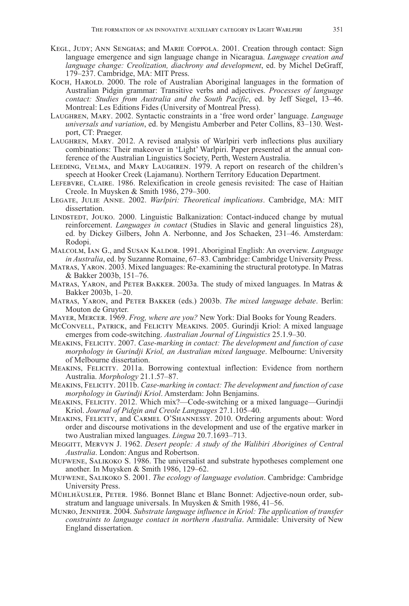- Kegl, Judy; Ann Senghas; and Marie Coppola. 2001. Creation through contact: Sign language emergence and sign language change in Nicaragua. *Language creation and language change: Creolization, diachrony and development*, ed. by Michel DeGraff, 179–237. Cambridge, MA: MIT Press.
- Koch, Harold. 2000. The role of Australian Aboriginal languages in the formation of Australian Pidgin grammar: Transitive verbs and adjectives. *Processes of language contact: Studies from Australia and the South Pacific*, ed. by Jeff Siegel, 13–46. Montreal: Les Editions Fides (University of Montreal Press).
- Laughren, Mary. 2002. Syntactic constraints in a 'free word order' language. *Language universals and variation*, ed. by Mengistu Amberber and Peter Collins, 83–130. Westport, CT: Praeger.
- Laughren, Mary. 2012. A revised analysis of Warlpiri verb inflections plus auxiliary combinations: Their makeover in 'Light' Warlpiri. Paper presented at the annual conference of the Australian Linguistics Society, Perth, Western Australia.
- Leeding, Velma, and Mary Laughren. 1979. A report on research of the children's speech at Hooker Creek (Lajamanu). Northern Territory Education Department.
- Lefebvre, Claire. 1986. Relexification in creole genesis revisited: The case of Haitian Creole. In Muysken & Smith 1986, 279–300.
- Legate, Julie Anne. 2002. *Warlpiri: Theoretical implications*. Cambridge, MA: MIT dissertation.
- LINDSTEDT, JOUKO. 2000. Linguistic Balkanization: Contact-induced change by mutual reinforcement. *Languages in contact* (Studies in Slavic and general linguistics 28), ed. by Dickey Gilbers, John A. Nerbonne, and Jos Schaeken, 231–46. Amsterdam: Rodopi.
- Malcolm, Ian G., and Susan Kaldor. 1991. Aboriginal English: An overview. *Language in Australia*, ed. by Suzanne Romaine, 67–83. Cambridge: Cambridge University Press.
- Matras, Yaron. 2003. Mixed languages: Re-examining the structural prototype. In Matras & Bakker 2003b, 151–76.
- Matras, Yaron, and Peter Bakker. 2003a. The study of mixed languages. In Matras & Bakker 2003b, 1–20.
- Matras, Yaron, and Peter Bakker (eds.) 2003b. *The mixed language debate*. Berlin: Mouton de Gruyter.
- Mayer, Mercer. 1969. *Frog, where are you?* New York: Dial Books for Young Readers.
- McConvell, Patrick, and Felicity Meakins. 2005. Gurindji Kriol: A mixed language emerges from code-switching. *Australian Journal of Linguistics* 25.1.9–30.
- Meakins, Felicity. 2007. *Case-marking in contact: The development and function of case morphology in Gurindji Kriol, an Australian mixed language*. Melbourne: University of Melbourne dissertation.
- Meakins, Felicity. 2011a. Borrowing contextual inflection: Evidence from northern Australia. *Morphology* 21.1.57–87.
- Meakins, Felicity. 2011b. *Case-marking in contact: The development and function of case morphology in Gurindji Kriol*. Amsterdam: John Benjamins.
- Meakins, Felicity. 2012. Which mix?—Code-switching or a mixed language—Gurindji Kriol. *Journal of Pidgin and Creole Languages* 27.1.105–40.
- Meakins, Felicity, and Carmel O'Shannessy. 2010. Ordering arguments about: Word order and discourse motivations in the development and use of the ergative marker in two Australian mixed languages. *Lingua* 20.7.1693–713.
- Meggitt, Mervyn J. 1962. *Desert people: A study of the Walibiri Aborigines of Central Australia*. London: Angus and Robertson.
- Mufwene, Salikoko S. 1986. The universalist and substrate hypotheses complement one another. In Muysken & Smith 1986, 129–62.
- Mufwene, Salikoko S. 2001. *The ecology of language evolution*. Cambridge: Cambridge University Press.
- Mühlhäusler, Peter. 1986. Bonnet Blanc et Blanc Bonnet: Adjective-noun order, substratum and language universals. In Muysken & Smith 1986, 41–56.
- Munro, Jennifer. 2004. *Substrate language influence in Kriol: The application of transfer constraints to language contact in northern Australia*. Armidale: University of New England dissertation.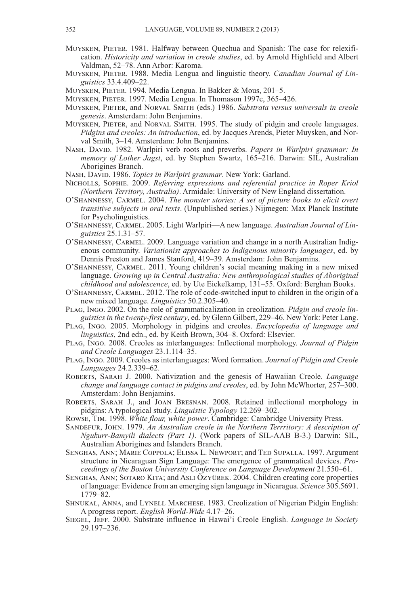- Muysken, Pieter. 1981. Halfway between Quechua and Spanish: The case for relexification. *Historicity and variation in creole studies*, ed. by Arnold Highfield and Albert Valdman, 52–78. Ann Arbor: Karoma.
- Muysken, Pieter. 1988. Media Lengua and linguistic theory. *Canadian Journal of Linguistics* 33.4.409–22.
- MUYSKEN, PIETER. 1994. Media Lengua. In Bakker & Mous, 201–5.
- Muysken, Pieter. 1997. Media Lengua. In Thomason 1997c, 365–426.
- Muysken, Pieter, and Norval Smith (eds.) 1986. *Substrata versus universals in creole genesis*. Amsterdam: John Benjamins.
- MUYSKEN, PIETER, and NORVAL SMITH. 1995. The study of pidgin and creole languages. *Pidgins and creoles: An introduction*, ed. by Jacques Arends, Pieter Muysken, and Norval Smith, 3–14. Amsterdam: John Benjamins.
- Nash, David. 1982. Warlpiri verb roots and preverbs. *Papers in Warlpiri grammar: In memory of Lother Jagst*, ed. by Stephen Swartz, 165–216. Darwin: SIL, Australian Aborigines Branch.
- Nash, David. 1986. *Topics in Warlpiri grammar*. New York: Garland.
- Nicholls, Sophie. 2009. *Referring expressions and referential practice in Roper Kriol (Northern Territory, Australia)*. Armidale: University of New England dissertation.
- O'Shannessy, Carmel. 2004. *The monster stories: A set of picture books to elicit overt transitive subjects in oral texts*. (Unpublished series.) Nijmegen: Max Planck Institute for Psycholinguistics.
- O'Shannessy, Carmel. 2005. Light Warlpiri—A new language. *Australian Journal of Linguistics* 25.1.31–57.
- O'Shannessy, Carmel. 2009. Language variation and change in a north Australian Indigenous community. *Variationist approaches to Indigenous minority languages*, ed. by Dennis Preston and James Stanford, 419–39. Amsterdam: John Benjamins.
- O'Shannessy, Carmel. 2011. Young children's social meaning making in a new mixed language. *Growing up in Central Australia: New anthropological studies of Aboriginal childhood and adolescence*, ed. by Ute Eickelkamp, 131–55. Oxford: Berghan Books.
- O'Shannessy, Carmel. 2012. The role of code-switched input to children in the origin of a new mixed language. *Linguistics* 50.2.305–40.
- Plag, Ingo. 2002. On the role of grammaticalization in creolization. *Pidgin and creole linguisticsin the twenty-first century*, ed. by Glenn Gilbert, 229–46. New York: Peter Lang.
- Plag, Ingo. 2005. Morphology in pidgins and creoles. *Encyclopedia of language and linguistics*, 2nd edn., ed. by Keith Brown, 304–8. Oxford: Elsevier.
- Plag, Ingo. 2008. Creoles as interlanguages: Inflectional morphology. *Journal of Pidgin and Creole Languages* 23.1.114–35.
- Plag, Ingo. 2009. Creoles as interlanguages: Word formation. *Journal of Pidgin and Creole Languages* 24.2.339–62.
- Roberts, Sarah J. 2000. Nativization and the genesis of Hawaiian Creole. *Language change and language contact in pidgins and creoles*, ed. by John McWhorter, 257–300. Amsterdam: John Benjamins.
- Roberts, Sarah J., and Joan Bresnan. 2008. Retained inflectional morphology in pidgins: A typological study. *Linguistic Typology* 12.269–302.
- Rowse, Tim. 1998. *White flour, white power*. Cambridge: Cambridge University Press.
- Sandefur, John. 1979. *An Australian creole in the Northern Terrritory: A description of Ngukurr-Bamyili dialects (Part 1)*. (Work papers of SIL-AAB B-3.) Darwin: SIL, Australian Aborigines and Islanders Branch.
- Senghas, Ann; Marie Coppola; Elissa L. Newport; and Ted Supalla. 1997. Argument structure in Nicaraguan Sign Language: The emergence of grammatical devices. *Proceedings of the Boston University Conference on Language Development* 21.550–61.
- Senghas, Ann; Sotaro Kita; and Aslı Özyürek. 2004. Children creating core properties of language: Evidence from an emerging sign language in Nicaragua. *Science* 305.5691. 1779–82.
- Shnukal, Anna, and Lynell Marchese. 1983. Creolization of Nigerian Pidgin English: A progress report. *English World-Wide* 4.17–26.
- Siegel, Jeff. 2000. Substrate influence in Hawai'i Creole English. *Language in Society* 29.197–236.